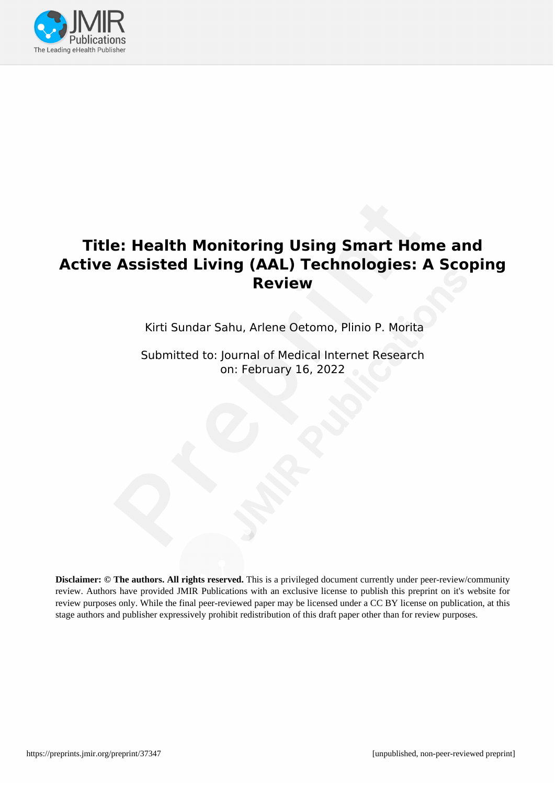

# **Title: Health Monitoring Using Smart Home and Active Assisted Living (AAL) Technologies: A Scoping Review**

Kirti Sundar Sahu, Arlene Oetomo, Plinio P. Morita

Submitted to: Journal of Medical Internet Research on: February 16, 2022

**Disclaimer: © The authors. All rights reserved.** This is a privileged document currently under peer-review/community review. Authors have provided JMIR Publications with an exclusive license to publish this preprint on it's website for review purposes only. While the final peer-reviewed paper may be licensed under a CC BY license on publication, at this stage authors and publisher expressively prohibit redistribution of this draft paper other than for review purposes.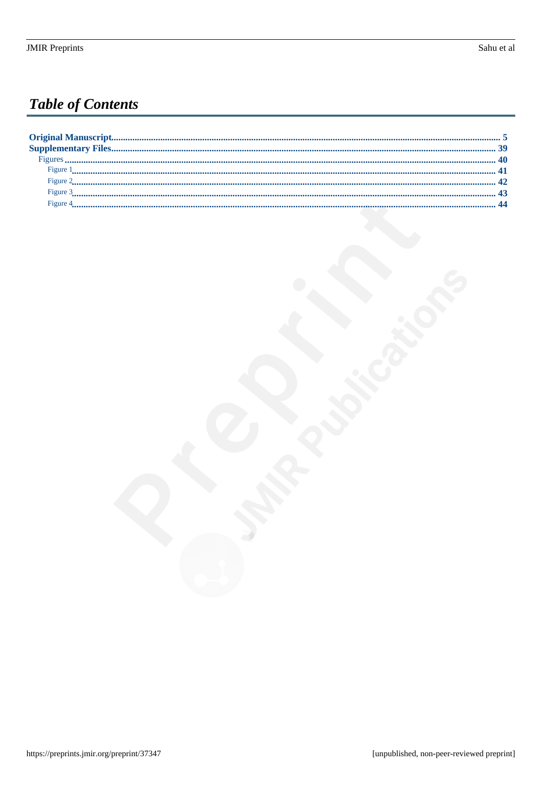# **Table of Contents**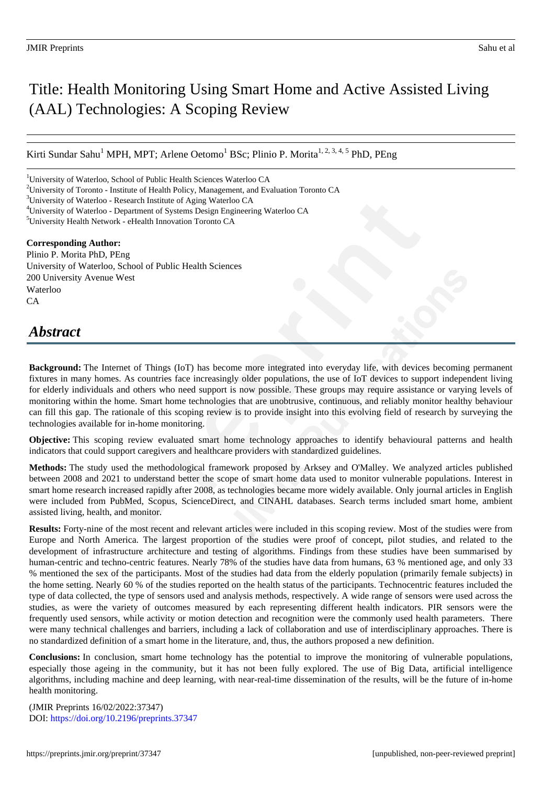# Title: Health Monitoring Using Smart Home and Active Assisted Living (AAL) Technologies: A Scoping Review

Kirti Sundar Sahu<sup>1</sup> MPH, MPT; Arlene Oetomo<sup>1</sup> BSc; Plinio P. Morita<sup>1, 2, 3, 4, 5</sup> PhD, PEng

#### **Corresponding Author:**

Plinio P. Morita PhD, PEng University of Waterloo, School of Public Health Sciences 200 University Avenue West Waterloo CA

## *Abstract*

**Background:** The Internet of Things (IoT) has become more integrated into everyday life, with devices becoming permanent fixtures in many homes. As countries face increasingly older populations, the use of IoT devices to support independent living for elderly individuals and others who need support is now possible. These groups may require assistance or varying levels of monitoring within the home. Smart home technologies that are unobtrusive, continuous, and reliably monitor healthy behaviour can fill this gap. The rationale of this scoping review is to provide insight into this evolving field of research by surveying the technologies available for in-home monitoring.

**Objective:** This scoping review evaluated smart home technology approaches to identify behavioural patterns and health indicators that could support caregivers and healthcare providers with standardized guidelines.

**Methods:** The study used the methodological framework proposed by Arksey and O'Malley. We analyzed articles published between 2008 and 2021 to understand better the scope of smart home data used to monitor vulnerable populations. Interest in smart home research increased rapidly after 2008, as technologies became more widely available. Only journal articles in English were included from PubMed, Scopus, ScienceDirect, and CINAHL databases. Search terms included smart home, ambient assisted living, health, and monitor.

**Results:** Forty-nine of the most recent and relevant articles were included in this scoping review. Most of the studies were from Europe and North America. The largest proportion of the studies were proof of concept, pilot studies, and related to the development of infrastructure architecture and testing of algorithms. Findings from these studies have been summarised by human-centric and techno-centric features. Nearly 78% of the studies have data from humans, 63 % mentioned age, and only 33 % mentioned the sex of the participants. Most of the studies had data from the elderly population (primarily female subjects) in the home setting. Nearly 60 % of the studies reported on the health status of the participants. Technocentric features included the type of data collected, the type of sensors used and analysis methods, respectively. A wide range of sensors were used across the studies, as were the variety of outcomes measured by each representing different health indicators. PIR sensors were the frequently used sensors, while activity or motion detection and recognition were the commonly used health parameters. There were many technical challenges and barriers, including a lack of collaboration and use of interdisciplinary approaches. There is no standardized definition of a smart home in the literature, and, thus, the authors proposed a new definition.

**Conclusions:** In conclusion, smart home technology has the potential to improve the monitoring of vulnerable populations, especially those ageing in the community, but it has not been fully explored. The use of Big Data, artificial intelligence algorithms, including machine and deep learning, with near-real-time dissemination of the results, will be the future of in-home health monitoring.

(JMIR Preprints 16/02/2022:37347) DOI: https://doi.org/10.2196/preprints.37347

<sup>&</sup>lt;sup>1</sup>University of Waterloo, School of Public Health Sciences Waterloo CA

<sup>2</sup>University of Toronto - Institute of Health Policy, Management, and Evaluation Toronto CA

<sup>&</sup>lt;sup>3</sup>University of Waterloo - Research Institute of Aging Waterloo CA

<sup>4</sup>University of Waterloo - Department of Systems Design Engineering Waterloo CA

<sup>5</sup>University Health Network - eHealth Innovation Toronto CA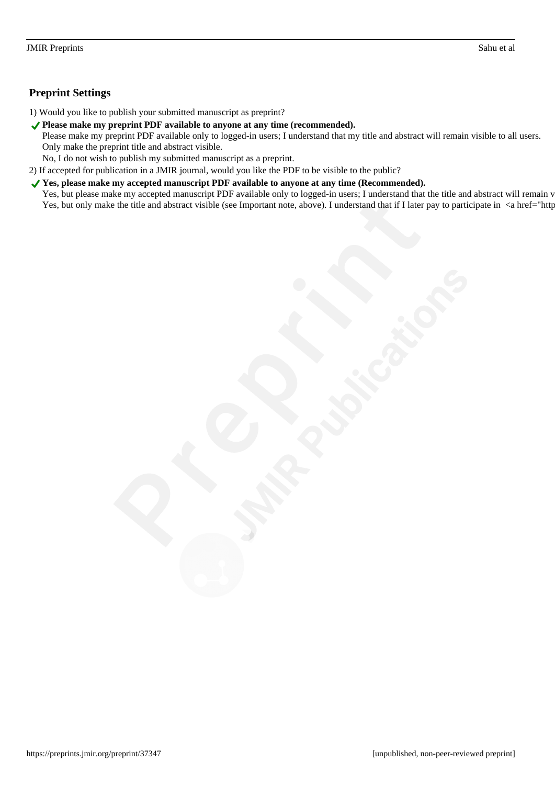## **Preprint Settings**

1) Would you like to publish your submitted manuscript as preprint?

◆ Please make my preprint PDF available to anyone at any time (recommended).

Please make my preprint PDF available only to logged-in users; I understand that my title and abstract will remain visible to all users. Only make the preprint title and abstract visible.

No, I do not wish to publish my submitted manuscript as a preprint.

2) If accepted for publication in a JMIR journal, would you like the PDF to be visible to the public?

◆ Yes, please make my accepted manuscript PDF available to anyone at any time (Recommended). Yes, but please make my accepted manuscript PDF available only to logged-in users; I understand that the title and abstract will remain v Yes, but only make the title and abstract visible (see Important note, above). I understand that if I later pay to participate in <a href="http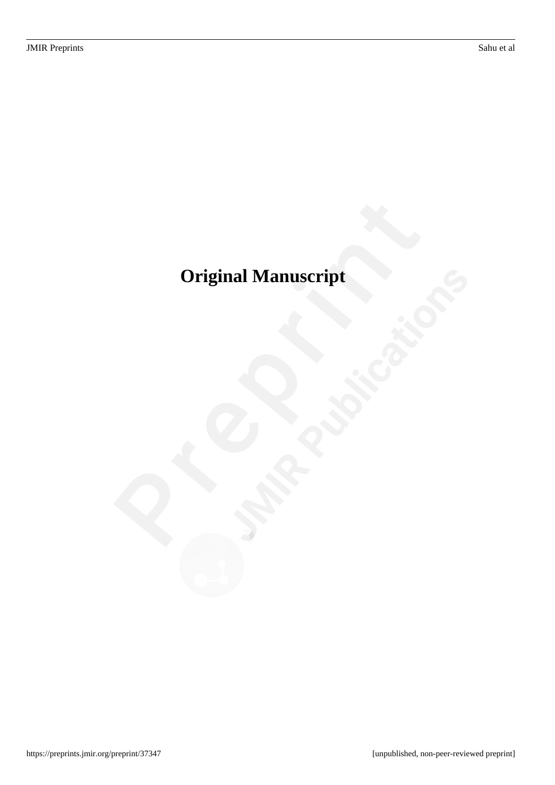# <span id="page-4-0"></span>**Original Manuscript**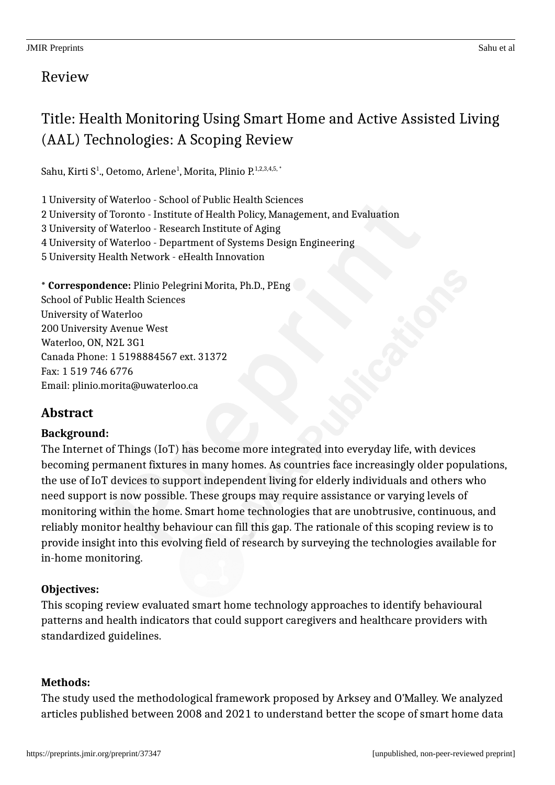# Title: Health Monitoring Using Smart Home and Active Assisted Living (AAL) Technologies: A Scoping Review

Sahu, Kirti S<sup>1</sup>., Oetomo, Arlene<sup>1</sup>, Morita, Plinio P.<sup>1,2,3,4,5,</sup>\*

1 University of Waterloo - School of Public Health Sciences 2 University of Toronto - Institute of Health Policy, Management, and Evaluation 3 University of Waterloo - Research Institute of Aging 4 University of Waterloo - Department of Systems Design Engineering 5 University Health Network - eHealth Innovation

**\* Correspondence:** Plinio Pelegrini Morita, Ph.D., PEng School of Public Health Sciences University of Waterloo 200 University Avenue West Waterloo, ON, N2L 3G1 Canada Phone: 1 5198884567 ext. 31372 Fax: 1 519 746 6776 Email: plinio.morita@uwaterloo.ca

## **Abstract**

## **Background:**

The Internet of Things (IoT) has become more integrated into everyday life, with devices becoming permanent fixtures in many homes. As countries face increasingly older populations, the use of IoT devices to support independent living for elderly individuals and others who need support is now possible. These groups may require assistance or varying levels of monitoring within the home. Smart home technologies that are unobtrusive, continuous, and reliably monitor healthy behaviour can fill this gap. The rationale of this scoping review is to provide insight into this evolving field of research by surveying the technologies available for in-home monitoring.

## **Objectives:**

This scoping review evaluated smart home technology approaches to identify behavioural patterns and health indicators that could support caregivers and healthcare providers with standardized guidelines.

## **Methods:**

The study used the methodological framework proposed by Arksey and O'Malley. We analyzed articles published between 2008 and 2021 to understand better the scope of smart home data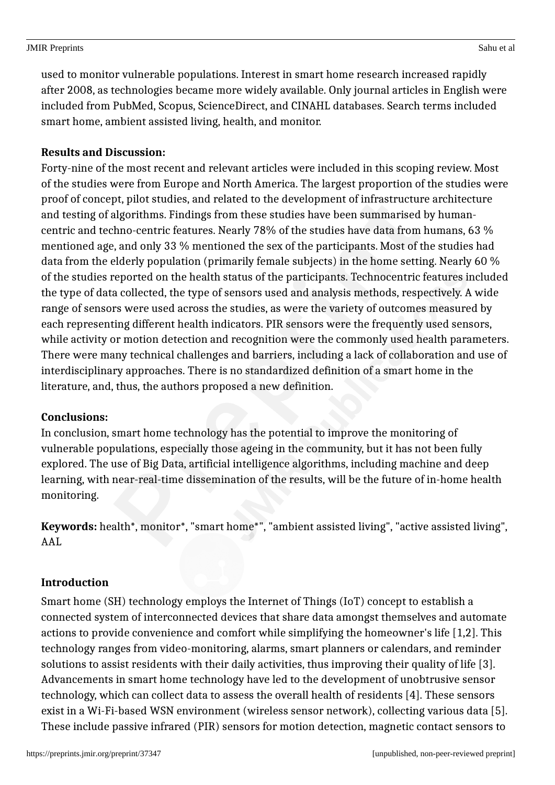used to monitor vulnerable populations. Interest in smart home research increased rapidly after 2008, as technologies became more widely available. Only journal articles in English were included from PubMed, Scopus, ScienceDirect, and CINAHL databases. Search terms included smart home, ambient assisted living, health, and monitor.

## **Results and Discussion:**

Forty-nine of the most recent and relevant articles were included in this scoping review. Most of the studies were from Europe and North America. The largest proportion of the studies were proof of concept, pilot studies, and related to the development of infrastructure architecture and testing of algorithms. Findings from these studies have been summarised by humancentric and techno-centric features. Nearly 78% of the studies have data from humans, 63 % mentioned age, and only 33 % mentioned the sex of the participants. Most of the studies had data from the elderly population (primarily female subjects) in the home setting. Nearly 60 % of the studies reported on the health status of the participants. Technocentric features included the type of data collected, the type of sensors used and analysis methods, respectively. A wide range of sensors were used across the studies, as were the variety of outcomes measured by each representing different health indicators. PIR sensors were the frequently used sensors, while activity or motion detection and recognition were the commonly used health parameters. There were many technical challenges and barriers, including a lack of collaboration and use of interdisciplinary approaches. There is no standardized definition of a smart home in the literature, and, thus, the authors proposed a new definition.

## **Conclusions:**

In conclusion, smart home technology has the potential to improve the monitoring of vulnerable populations, especially those ageing in the community, but it has not been fully explored. The use of Big Data, artificial intelligence algorithms, including machine and deep learning, with near-real-time dissemination of the results, will be the future of in-home health monitoring.

**Keywords:** health\*, monitor\*, "smart home\*", "ambient assisted living", "active assisted living", AAL

## **Introduction**

Smart home (SH) technology employs the Internet of Things (IoT) concept to establish a connected system of interconnected devices that share data amongst themselves and automate actions to provide convenience and comfort while simplifying the homeowner's life [1,2]. This technology ranges from video-monitoring, alarms, smart planners or calendars, and reminder solutions to assist residents with their daily activities, thus improving their quality of life [3]. Advancements in smart home technology have led to the development of unobtrusive sensor technology, which can collect data to assess the overall health of residents [4]. These sensors exist in a Wi-Fi-based WSN environment (wireless sensor network), collecting various data [5]. These include passive infrared (PIR) sensors for motion detection, magnetic contact sensors to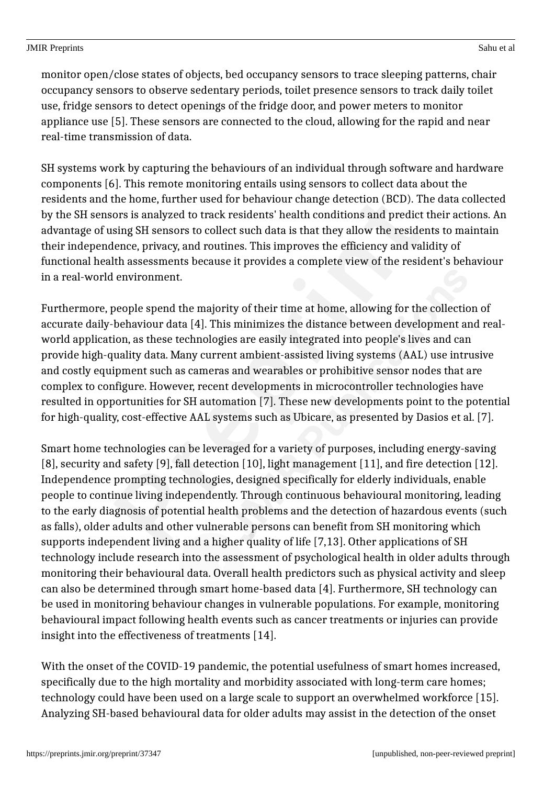monitor open/close states of objects, bed occupancy sensors to trace sleeping patterns, chair occupancy sensors to observe sedentary periods, toilet presence sensors to track daily toilet use, fridge sensors to detect openings of the fridge door, and power meters to monitor appliance use [5]. These sensors are connected to the cloud, allowing for the rapid and near real-time transmission of data.

SH systems work by capturing the behaviours of an individual through software and hardware components [6]. This remote monitoring entails using sensors to collect data about the residents and the home, further used for behaviour change detection (BCD). The data collected by the SH sensors is analyzed to track residents' health conditions and predict their actions. An advantage of using SH sensors to collect such data is that they allow the residents to maintain their independence, privacy, and routines. This improves the efficiency and validity of functional health assessments because it provides a complete view of the resident's behaviour in a real-world environment.

Furthermore, people spend the majority of their time at home, allowing for the collection of accurate daily-behaviour data [4]. This minimizes the distance between development and realworld application, as these technologies are easily integrated into people's lives and can provide high-quality data. Many current ambient-assisted living systems (AAL) use intrusive and costly equipment such as cameras and wearables or prohibitive sensor nodes that are complex to configure. However, recent developments in microcontroller technologies have resulted in opportunities for SH automation [7]. These new developments point to the potential for high-quality, cost-effective AAL systems such as Ubicare, as presented by Dasios et al. [7].

Smart home technologies can be leveraged for a variety of purposes, including energy-saving [8], security and safety [9], fall detection [10], light management [11], and fire detection [12]. Independence prompting technologies, designed specifically for elderly individuals, enable people to continue living independently. Through continuous behavioural monitoring, leading to the early diagnosis of potential health problems and the detection of hazardous events (such as falls), older adults and other vulnerable persons can benefit from SH monitoring which supports independent living and a higher quality of life [7,13]. Other applications of SH technology include research into the assessment of psychological health in older adults through monitoring their behavioural data. Overall health predictors such as physical activity and sleep can also be determined through smart home-based data [4]. Furthermore, SH technology can be used in monitoring behaviour changes in vulnerable populations. For example, monitoring behavioural impact following health events such as cancer treatments or injuries can provide insight into the effectiveness of treatments [14].

With the onset of the COVID-19 pandemic, the potential usefulness of smart homes increased, specifically due to the high mortality and morbidity associated with long-term care homes; technology could have been used on a large scale to support an overwhelmed workforce [15]. Analyzing SH-based behavioural data for older adults may assist in the detection of the onset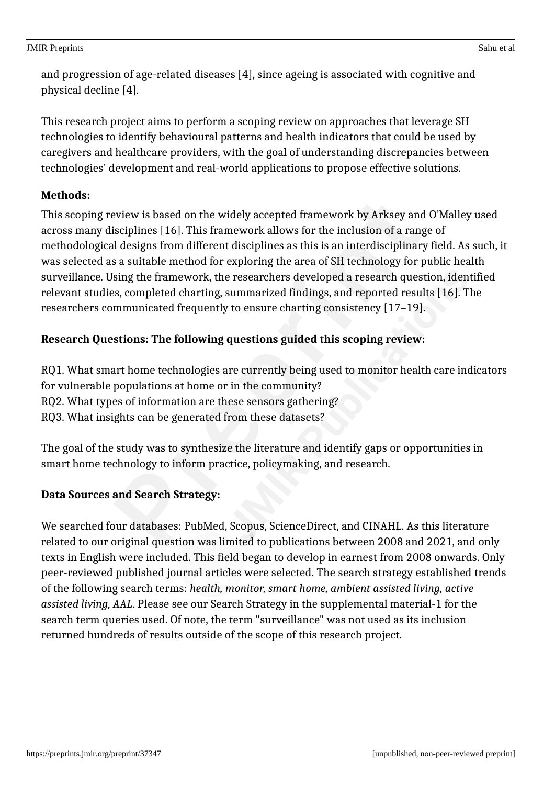and progression of age-related diseases [4], since ageing is associated with cognitive and physical decline [4].

This research project aims to perform a scoping review on approaches that leverage SH technologies to identify behavioural patterns and health indicators that could be used by caregivers and healthcare providers, with the goal of understanding discrepancies between technologies' development and real-world applications to propose effective solutions.

## **Methods:**

This scoping review is based on the widely accepted framework by Arksey and O'Malley used across many disciplines [16]. This framework allows for the inclusion of a range of methodological designs from different disciplines as this is an interdisciplinary field. As such, it was selected as a suitable method for exploring the area of SH technology for public health surveillance. Using the framework, the researchers developed a research question, identified relevant studies, completed charting, summarized findings, and reported results [16]. The researchers communicated frequently to ensure charting consistency [17–19].

## **Research Questions: The following questions guided this scoping review:**

RQ1. What smart home technologies are currently being used to monitor health care indicators for vulnerable populations at home or in the community? RQ2. What types of information are these sensors gathering? RQ3. What insights can be generated from these datasets?

The goal of the study was to synthesize the literature and identify gaps or opportunities in smart home technology to inform practice, policymaking, and research.

## **Data Sources and Search Strategy:**

We searched four databases: PubMed, Scopus, ScienceDirect, and CINAHL. As this literature related to our original question was limited to publications between 2008 and 2021, and only texts in English were included. This field began to develop in earnest from 2008 onwards. Only peer-reviewed published journal articles were selected. The search strategy established trends of the following search terms: *health, monitor, smart home, ambient assisted living, active assisted living, AAL*. Please see our Search Strategy in the supplemental material-1 for the search term queries used. Of note, the term "surveillance" was not used as its inclusion returned hundreds of results outside of the scope of this research project.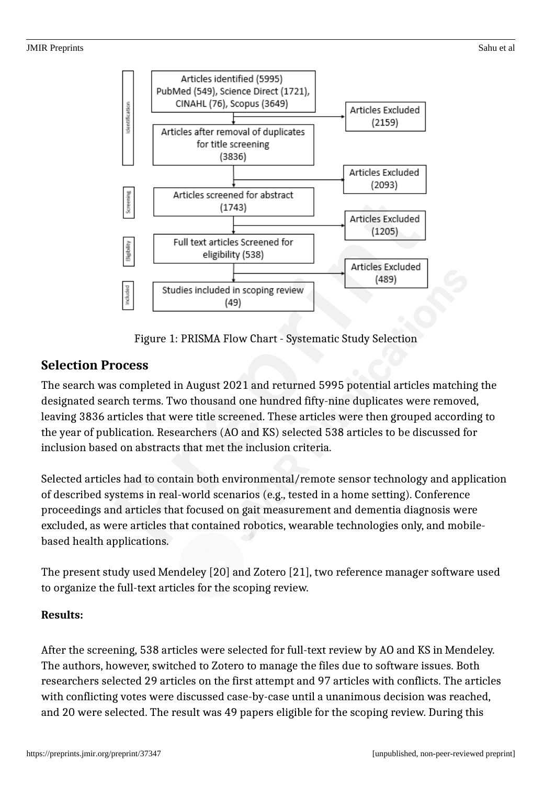

Figure 1: PRISMA Flow Chart - Systematic Study Selection

## **Selection Process**

The search was completed in August 2021 and returned 5995 potential articles matching the designated search terms. Two thousand one hundred fifty-nine duplicates were removed, leaving 3836 articles that were title screened. These articles were then grouped according to the year of publication. Researchers (AO and KS) selected 538 articles to be discussed for inclusion based on abstracts that met the inclusion criteria.

Selected articles had to contain both environmental/remote sensor technology and application of described systems in real-world scenarios (e.g., tested in a home setting). Conference proceedings and articles that focused on gait measurement and dementia diagnosis were excluded, as were articles that contained robotics, wearable technologies only, and mobilebased health applications.

The present study used Mendeley [20] and Zotero [21], two reference manager software used to organize the full-text articles for the scoping review.

## **Results:**

After the screening, 538 articles were selected for full-text review by AO and KS in Mendeley. The authors, however, switched to Zotero to manage the files due to software issues. Both researchers selected 29 articles on the first attempt and 97 articles with conflicts. The articles with conflicting votes were discussed case-by-case until a unanimous decision was reached, and 20 were selected. The result was 49 papers eligible for the scoping review. During this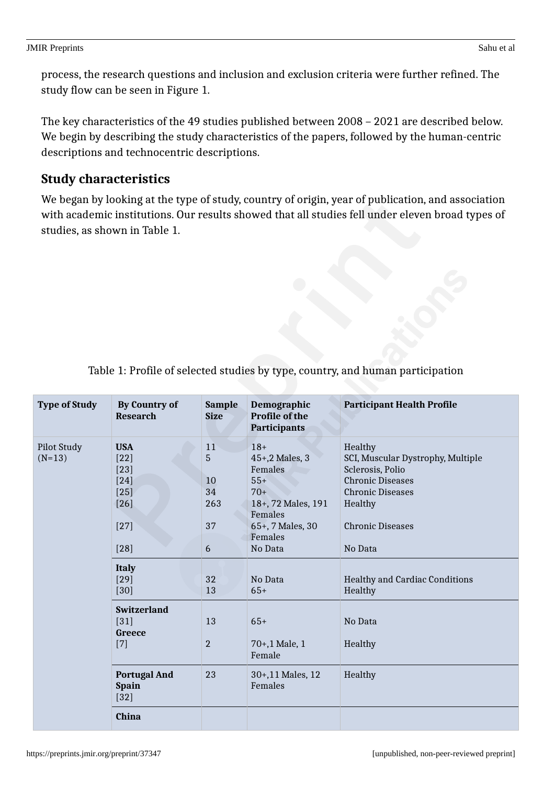process, the research questions and inclusion and exclusion criteria were further refined. The study flow can be seen in Figure 1.

The key characteristics of the 49 studies published between 2008 – 2021 are described below. We begin by describing the study characteristics of the papers, followed by the human-centric descriptions and technocentric descriptions.

## **Study characteristics**

We began by looking at the type of study, country of origin, year of publication, and association with academic institutions. Our results showed that all studies fell under eleven broad types of studies, as shown in Table 1.

| <b>Type of Study</b>           | <b>By Country of</b><br><b>Research</b>                                          | <b>Sample</b><br><b>Size</b>          | Demographic<br><b>Profile of the</b><br>Participants                                                                            | <b>Participant Health Profile</b>                                                                                                                                       |
|--------------------------------|----------------------------------------------------------------------------------|---------------------------------------|---------------------------------------------------------------------------------------------------------------------------------|-------------------------------------------------------------------------------------------------------------------------------------------------------------------------|
| <b>Pilot Study</b><br>$(N=13)$ | <b>USA</b><br>$[22]$<br>$[23]$<br>$[24]$<br>$[25]$<br>$[26]$<br>$[27]$<br>$[28]$ | 11<br>5<br>10<br>34<br>263<br>37<br>6 | $18+$<br>45+,2 Males, 3<br>Females<br>$55+$<br>$70+$<br>18+, 72 Males, 191<br>Females<br>65+, 7 Males, 30<br>Females<br>No Data | Healthy<br>SCI, Muscular Dystrophy, Multiple<br>Sclerosis, Polio<br><b>Chronic Diseases</b><br><b>Chronic Diseases</b><br>Healthy<br><b>Chronic Diseases</b><br>No Data |
|                                | <b>Italy</b><br>$[29]$<br>$[30]$                                                 | 32<br>13                              | No Data<br>$65+$                                                                                                                | <b>Healthy and Cardiac Conditions</b><br>Healthy                                                                                                                        |
|                                | <b>Switzerland</b><br>$[31]$<br>Greece<br>$[7]$                                  | 13<br>$\overline{2}$                  | $65+$<br>70+,1 Male, 1<br>Female                                                                                                | No Data<br>Healthy                                                                                                                                                      |
|                                | <b>Portugal And</b><br><b>Spain</b><br>$[32]$                                    | 23                                    | 30+,11 Males, 12<br>Females                                                                                                     | Healthy                                                                                                                                                                 |
|                                | <b>China</b>                                                                     |                                       |                                                                                                                                 |                                                                                                                                                                         |

## Table 1: Profile of selected studies by type, country, and human participation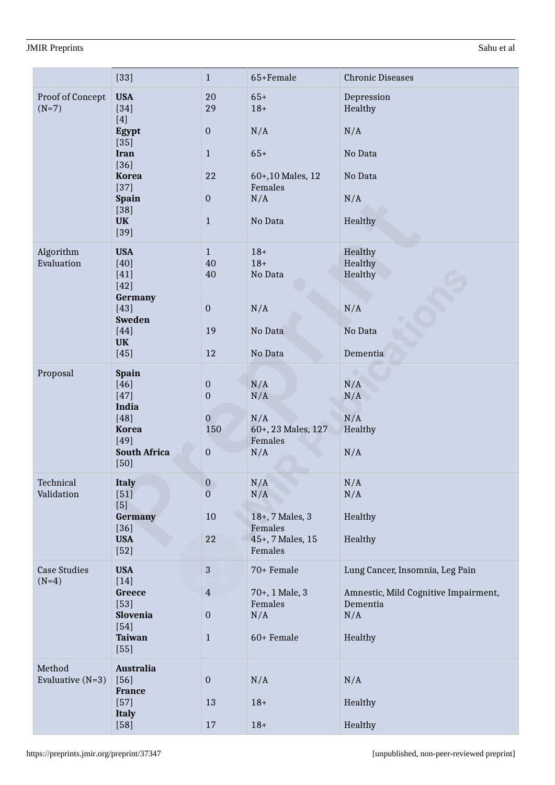|                                | $[33]$                                                                                                                                               | $\mathbf{1}$                                                                           | 65+Female                                                                       | <b>Chronic Diseases</b>                                                                               |
|--------------------------------|------------------------------------------------------------------------------------------------------------------------------------------------------|----------------------------------------------------------------------------------------|---------------------------------------------------------------------------------|-------------------------------------------------------------------------------------------------------|
| Proof of Concept<br>$(N=7)$    | <b>USA</b><br>$[34]$<br>$[4]$<br>Egypt<br>$[35]$<br><b>Iran</b><br>$[36]$<br><b>Korea</b><br>$[37]$<br><b>Spain</b><br>$[38]$<br><b>UK</b><br>$[39]$ | 20<br>29<br>$\boldsymbol{0}$<br>$\mathbf{1}$<br>22<br>$\boldsymbol{0}$<br>$\mathbf{1}$ | $65+$<br>$18+$<br>N/A<br>$65+$<br>60+,10 Males, 12<br>Females<br>N/A<br>No Data | Depression<br>Healthy<br>N/A<br>No Data<br>No Data<br>N/A<br>Healthy                                  |
| Algorithm<br>Evaluation        | <b>USA</b><br>$[40]$<br>$[41]$<br>$[42]$<br><b>Germany</b><br>$[43]$<br><b>Sweden</b><br>$[44]$<br><b>UK</b><br>$[45]$                               | $\mathbf{1}$<br>40<br>40<br>$\boldsymbol{0}$<br>19<br>12                               | $18+$<br>$18+$<br>No Data<br>N/A<br>No Data<br>No Data                          | Healthy<br>Healthy<br>Healthy<br>N/A<br>No Data<br>Dementia                                           |
| Proposal                       | <b>Spain</b><br>$[46]$<br>$[47]$<br>India<br>$[48]$<br><b>Korea</b><br>$[49]$<br><b>South Africa</b><br>$[50]$                                       | $\boldsymbol{0}$<br>$\mathbf 0$<br>$\overline{0}$<br>150<br>$\boldsymbol{0}$           | N/A<br>N/A<br>N/A<br>60+, 23 Males, 127<br>Females<br>N/A                       | N/A<br>N/A<br>N/A<br>Healthy<br>N/A                                                                   |
| Technical<br>Validation        | <b>Italy</b><br>$[51]$<br>[5]<br><b>Germany</b><br>$[36]$<br><b>USA</b><br>$[52]$                                                                    | $\boldsymbol{0}$<br>$\overline{0}$<br>10<br>22                                         | N/A<br>N/A<br>18+, 7 Males, 3<br>Females<br>45+, 7 Males, 15<br>Females         | N/A<br>N/A<br>Healthy<br>Healthy                                                                      |
| <b>Case Studies</b><br>$(N=4)$ | <b>USA</b><br>$[14]$<br>Greece<br>$[53]$<br>Slovenia<br>$[54]$<br><b>Taiwan</b><br>$[55]$                                                            | $\mathbf{3}$<br>$\overline{4}$<br>$\boldsymbol{0}$<br>$\mathbf{1}$                     | 70+ Female<br>70+, 1 Male, 3<br>Females<br>N/A<br>60+ Female                    | Lung Cancer, Insomnia, Leg Pain<br>Amnestic, Mild Cognitive Impairment,<br>Dementia<br>N/A<br>Healthy |
| Method<br>Evaluative $(N=3)$   | <b>Australia</b><br>$[56]$<br><b>France</b><br>$[57]$<br><b>Italy</b><br>$[58]$                                                                      | $\boldsymbol{0}$<br>13<br>17                                                           | N/A<br>$18+$<br>$18+$                                                           | N/A<br>Healthy<br>Healthy                                                                             |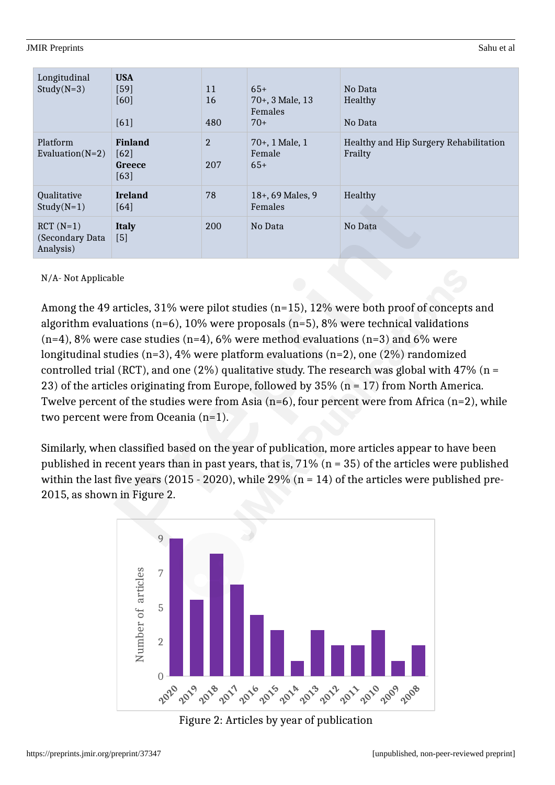| Longitudinal<br>$Study(N=3)$                | <b>USA</b><br>$[59]$<br>[60]<br>[61]         | 11<br>16<br>480       | $65+$<br>70+, 3 Male, 13<br>Females<br>$70+$ | No Data<br>Healthy<br>No Data                     |
|---------------------------------------------|----------------------------------------------|-----------------------|----------------------------------------------|---------------------------------------------------|
| Platform<br>Evaluation( $N=2$ )             | <b>Finland</b><br>$[62]$<br>Greece<br>$[63]$ | $\overline{2}$<br>207 | 70+, 1 Male, 1<br>Female<br>$65+$            | Healthy and Hip Surgery Rehabilitation<br>Frailty |
| Qualitative<br>$Study(N=1)$                 | <b>Ireland</b><br>$[64]$                     | 78                    | 18+, 69 Males, 9<br>Females                  | Healthy                                           |
| $RCT (N=1)$<br>(Secondary Data<br>Analysis) | <b>Italy</b><br>$[5]$                        | 200                   | No Data                                      | No Data                                           |

### N/A- Not Applicable

Among the 49 articles, 31% were pilot studies (n=15), 12% were both proof of concepts and algorithm evaluations (n=6), 10% were proposals (n=5), 8% were technical validations  $(n=4)$ , 8% were case studies  $(n=4)$ , 6% were method evaluations  $(n=3)$  and 6% were longitudinal studies (n=3), 4% were platform evaluations (n=2), one (2%) randomized controlled trial (RCT), and one (2%) qualitative study. The research was global with 47% ( $n =$ 23) of the articles originating from Europe, followed by  $35\%$  (n = 17) from North America. Twelve percent of the studies were from Asia ( $n=6$ ), four percent were from Africa ( $n=2$ ), while two percent were from Oceania (n=1).

Similarly, when classified based on the year of publication, more articles appear to have been published in recent years than in past years, that is, 71% (n = 35) of the articles were published within the last five years (2015 - 2020), while 29% ( $n = 14$ ) of the articles were published pre-2015, as shown in Figure 2.



## Figure 2: Articles by year of publication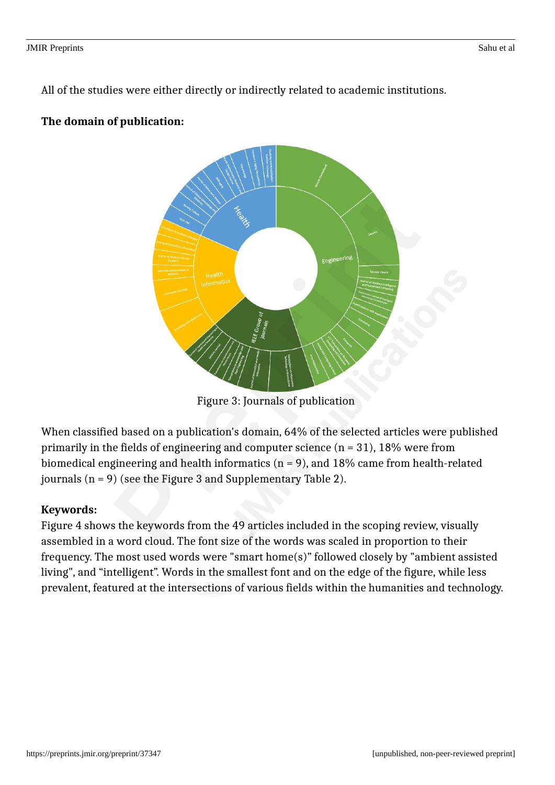All of the studies were either directly or indirectly related to academic institutions.

## **The domain of publication:**



Figure 3: Journals of publication

When classified based on a publication's domain, 64% of the selected articles were published primarily in the fields of engineering and computer science  $(n = 31)$ , 18% were from biomedical engineering and health informatics ( $n = 9$ ), and 18% came from health-related journals  $(n = 9)$  (see the Figure 3 and Supplementary Table 2).

## **Keywords:**

Figure 4 shows the keywords from the 49 articles included in the scoping review, visually assembled in a word cloud. The font size of the words was scaled in proportion to their frequency. The most used words were "smart home(s)" followed closely by "ambient assisted living", and "intelligent". Words in the smallest font and on the edge of the figure, while less prevalent, featured at the intersections of various fields within the humanities and technology.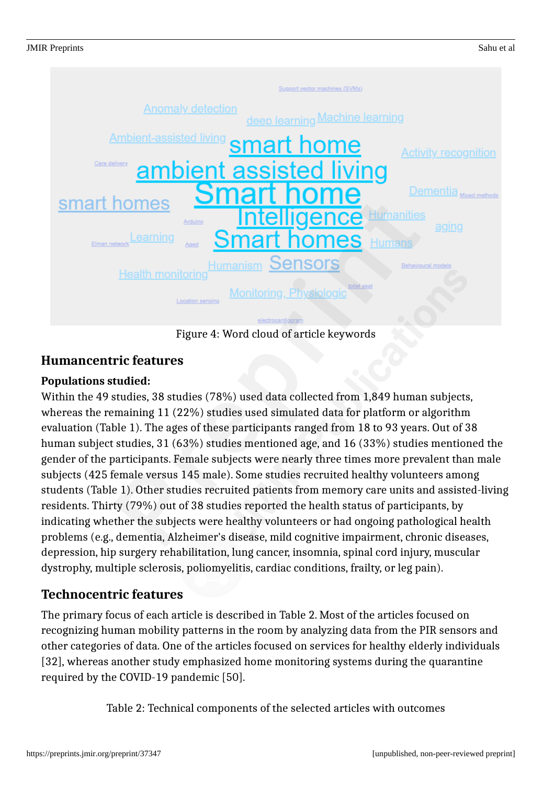

Figure 4: Word cloud of article keywords

## **Humancentric features**

## **Populations studied:**

Within the 49 studies, 38 studies (78%) used data collected from 1,849 human subjects, whereas the remaining 11 (22%) studies used simulated data for platform or algorithm evaluation (Table 1). The ages of these participants ranged from 18 to 93 years. Out of 38 human subject studies, 31 (63%) studies mentioned age, and 16 (33%) studies mentioned the gender of the participants. Female subjects were nearly three times more prevalent than male subjects (425 female versus 145 male). Some studies recruited healthy volunteers among students (Table 1). Other studies recruited patients from memory care units and assisted-living residents. Thirty (79%) out of 38 studies reported the health status of participants, by indicating whether the subjects were healthy volunteers or had ongoing pathological health problems (e.g., dementia, Alzheimer's disease, mild cognitive impairment, chronic diseases, depression, hip surgery rehabilitation, lung cancer, insomnia, spinal cord injury, muscular dystrophy, multiple sclerosis, poliomyelitis, cardiac conditions, frailty, or leg pain).

## **Technocentric features**

The primary focus of each article is described in Table 2. Most of the articles focused on recognizing human mobility patterns in the room by analyzing data from the PIR sensors and other categories of data. One of the articles focused on services for healthy elderly individuals [32], whereas another study emphasized home monitoring systems during the quarantine required by the COVID-19 pandemic [50].

Table 2: Technical components of the selected articles with outcomes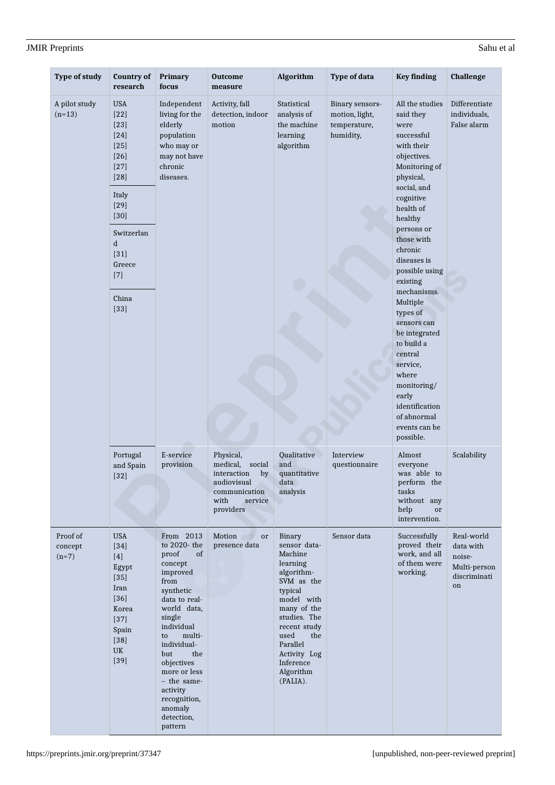pattern

| <b>Type of study</b>           | <b>Country of</b><br>research                                                                                                                                                              | <b>Primary</b><br>focus                                                                                                                                                                                                                                                                     | <b>Outcome</b><br>measure                                                                                            | Algorithm                                                                                                                                                                                                                          | <b>Type of data</b>                                            | <b>Key finding</b>                                                                                                                                                                                                                                                                                                                                                                                                                                                | <b>Challenge</b>                                                        |
|--------------------------------|--------------------------------------------------------------------------------------------------------------------------------------------------------------------------------------------|---------------------------------------------------------------------------------------------------------------------------------------------------------------------------------------------------------------------------------------------------------------------------------------------|----------------------------------------------------------------------------------------------------------------------|------------------------------------------------------------------------------------------------------------------------------------------------------------------------------------------------------------------------------------|----------------------------------------------------------------|-------------------------------------------------------------------------------------------------------------------------------------------------------------------------------------------------------------------------------------------------------------------------------------------------------------------------------------------------------------------------------------------------------------------------------------------------------------------|-------------------------------------------------------------------------|
| A pilot study<br>$(n=13)$      | <b>USA</b><br>$[22]$<br>$[23]$<br>$[24]$<br>$[25]$<br>$[26]$<br>$[27]$<br>$[28]$<br>Italy<br>$[29]$<br>$[30]$<br>Switzerlan<br>$\mathbf d$<br>$[31]$<br>Greece<br>$[7]$<br>China<br>$[33]$ | Independent<br>living for the<br>elderly<br>population<br>who may or<br>may not have<br>chronic<br>diseases.                                                                                                                                                                                | Activity, fall<br>detection, indoor<br>motion                                                                        | Statistical<br>analysis of<br>the machine<br>learning<br>algorithm                                                                                                                                                                 | Binary sensors-<br>motion, light,<br>temperature,<br>humidity, | All the studies<br>said they<br>were<br>successful<br>with their<br>objectives.<br>Monitoring of<br>physical,<br>social, and<br>cognitive<br>health of<br>healthy<br>persons or<br>those with<br>chronic<br>diseases is<br>possible using<br>existing<br>mechanisms.<br>Multiple<br>types of<br>sensors can<br>be integrated<br>to build a<br>central<br>service,<br>where<br>monitoring/<br>early<br>identification<br>of abnormal<br>events can be<br>possible. | Differentiate<br>individuals,<br>False alarm                            |
|                                | Portugal<br>and Spain<br>$[32]$                                                                                                                                                            | E-service<br>provision                                                                                                                                                                                                                                                                      | Physical,<br>medical,<br>social<br>interaction<br>by<br>audiovisual<br>communication<br>with<br>service<br>providers | Qualitative<br>and<br>quantitative<br>data<br>analysis                                                                                                                                                                             | Interview<br>questionnaire                                     | Almost<br>everyone<br>was able to<br>perform the<br>tasks<br>without any<br>help<br>or<br>intervention.                                                                                                                                                                                                                                                                                                                                                           | Scalability                                                             |
| Proof of<br>concept<br>$(n=7)$ | <b>USA</b><br>$[34]$<br>$[4]$<br>Egypt<br>$[35]$<br>Iran<br>$[36]$<br>Korea<br>$[37]$<br>Spain<br>$[38]$<br>UK<br>$[39]$                                                                   | From 2013<br>to 2020- the<br>proof<br>of<br>concept<br>improved<br>from<br>synthetic<br>data to real-<br>world data,<br>single<br>individual<br>multi-<br>to<br>individual-<br>but<br>the<br>objectives<br>more or less<br>- the same-<br>activity<br>recognition,<br>anomaly<br>detection, | Motion<br>or<br>presence data                                                                                        | Binary<br>sensor data-<br>Machine<br>learning<br>algorithm-<br>SVM as the<br>typical<br>model with<br>many of the<br>studies. The<br>recent study<br>used<br>the<br>Parallel<br>Activity Log<br>Inference<br>Algorithm<br>(PALIA). | Sensor data                                                    | Successfully<br>proved their<br>work, and all<br>of them were<br>working.                                                                                                                                                                                                                                                                                                                                                                                         | Real-world<br>data with<br>noise-<br>Multi-person<br>discriminati<br>on |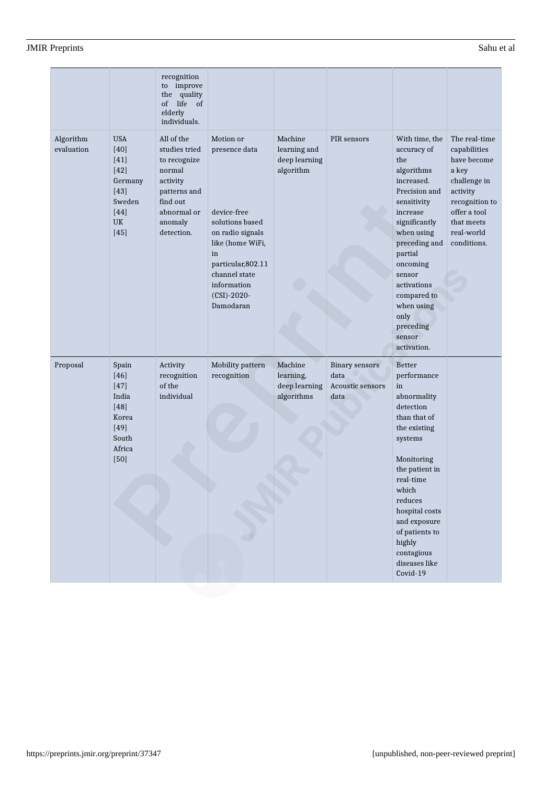|                         |                                                                                                        | recognition<br>to improve<br>quality<br>the<br>life of<br>of<br>elderly<br>individuals.                                               |                                                                                                                                                                                                   |                                                       |                                                           |                                                                                                                                                                                                                                                                                         |                                                                                                                                                                |
|-------------------------|--------------------------------------------------------------------------------------------------------|---------------------------------------------------------------------------------------------------------------------------------------|---------------------------------------------------------------------------------------------------------------------------------------------------------------------------------------------------|-------------------------------------------------------|-----------------------------------------------------------|-----------------------------------------------------------------------------------------------------------------------------------------------------------------------------------------------------------------------------------------------------------------------------------------|----------------------------------------------------------------------------------------------------------------------------------------------------------------|
| Algorithm<br>evaluation | <b>USA</b><br>$[40]$<br>[41]<br>$[42]$<br>Germany<br>$[43]$<br>Sweden<br>$[44]$<br><b>UK</b><br>$[45]$ | All of the<br>studies tried<br>to recognize<br>normal<br>activity<br>patterns and<br>find out<br>abnormal or<br>anomaly<br>detection. | Motion or<br>presence data<br>device-free<br>solutions based<br>on radio signals<br>like (home WiFi,<br>in<br>particular, 802.11<br>channel state<br>information<br>$(CSI) - 2020 -$<br>Damodaran | Machine<br>learning and<br>deep learning<br>algorithm | PIR sensors                                               | With time, the<br>accuracy of<br>the<br>algorithms<br>increased.<br>Precision and<br>sensitivity<br>increase<br>significantly<br>when using<br>preceding and<br>partial<br>oncoming<br>sensor<br>activations<br>compared to<br>when using<br>only<br>preceding<br>sensor<br>activation. | The real-time<br>capabilities<br>have become<br>a key<br>challenge in<br>activity<br>recognition to<br>offer a tool<br>that meets<br>real-world<br>conditions. |
| Proposal                | Spain<br>$[46]$<br>$[47]$<br>India<br>[48]<br>Korea<br>$[49]$<br>South<br>Africa<br>$[50]$             | Activity<br>recognition<br>of the<br>individual                                                                                       | Mobility pattern<br>recognition                                                                                                                                                                   | Machine<br>learning,<br>deep learning<br>algorithms   | <b>Binary sensors</b><br>data<br>Acoustic sensors<br>data | <b>Better</b><br>performance<br>in<br>abnormality<br>detection<br>than that of<br>the existing<br>systems<br>Monitoring<br>the patient in<br>real-time<br>which<br>reduces<br>hospital costs<br>and exposure<br>of patients to<br>highly<br>contagious<br>diseases like<br>Covid-19     |                                                                                                                                                                |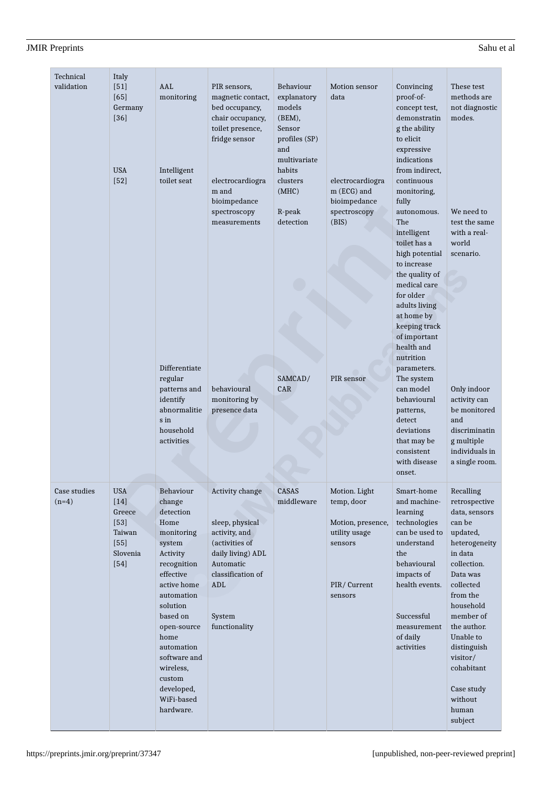| <b>JMIR Preprints</b> | e'anıı e<br>r ai |
|-----------------------|------------------|

| Technical<br>validation | Italy<br>$[51]$<br>$[65]$                                                   | AAL<br>monitoring                                                                                                                                                                                                                                                                  | PIR sensors,<br>magnetic contact,                                                                                                                              | Behaviour<br>explanatory                                           | Motion sensor<br>data                                                                                  | Convincing<br>proof-of-                                                                                                                                                                                                                                                 | These test<br>methods are                                                                                                                                                                                                                                                                     |
|-------------------------|-----------------------------------------------------------------------------|------------------------------------------------------------------------------------------------------------------------------------------------------------------------------------------------------------------------------------------------------------------------------------|----------------------------------------------------------------------------------------------------------------------------------------------------------------|--------------------------------------------------------------------|--------------------------------------------------------------------------------------------------------|-------------------------------------------------------------------------------------------------------------------------------------------------------------------------------------------------------------------------------------------------------------------------|-----------------------------------------------------------------------------------------------------------------------------------------------------------------------------------------------------------------------------------------------------------------------------------------------|
|                         | Germany<br>$[36]$                                                           |                                                                                                                                                                                                                                                                                    | bed occupancy,<br>chair occupancy,<br>toilet presence,<br>fridge sensor                                                                                        | models<br>(BEM),<br>Sensor<br>profiles (SP)<br>and<br>multivariate |                                                                                                        | concept test,<br>demonstratin<br>g the ability<br>to elicit<br>expressive<br>indications                                                                                                                                                                                | not diagnostic<br>modes.                                                                                                                                                                                                                                                                      |
|                         | <b>USA</b><br>$[52]$                                                        | Intelligent<br>toilet seat                                                                                                                                                                                                                                                         | electrocardiogra<br>m and<br>bioimpedance<br>spectroscopy<br>measurements                                                                                      | habits<br>clusters<br>(MHC)<br>R-peak<br>detection                 | electrocardiogra<br>m (ECG) and<br>bioimpedance<br>spectroscopy<br>(BIS)                               | from indirect,<br>continuous<br>monitoring,<br>fully<br>autonomous.<br>The<br>intelligent<br>toilet has a<br>high potential<br>to increase<br>the quality of<br>medical care<br>for older<br>adults living<br>at home by<br>keeping track<br>of important<br>health and | We need to<br>test the same<br>with a real-<br>world<br>scenario.                                                                                                                                                                                                                             |
|                         |                                                                             | Differentiate<br>regular<br>patterns and<br>identify<br>abnormalitie<br>s in<br>household<br>activities                                                                                                                                                                            | behavioural<br>monitoring by<br>presence data                                                                                                                  | SAMCAD/<br>CAR                                                     | PIR sensor                                                                                             | nutrition<br>parameters.<br>The system<br>can model<br>behavioural<br>patterns,<br>detect<br>deviations<br>that may be<br>consistent<br>with disease<br>onset.                                                                                                          | Only indoor<br>activity can<br>be monitored<br>and<br>discriminatin<br>g multiple<br>individuals in<br>a single room.                                                                                                                                                                         |
| Case studies<br>$(n=4)$ | USA<br>$[14]$<br>Greece<br>$[53]$<br>Taiwan<br>$[55]$<br>Slovenia<br>$[54]$ | Behaviour<br>change<br>detection<br>Home<br>monitoring<br>system<br>Activity<br>recognition<br>effective<br>active home<br>automation<br>solution<br>based on<br>open-source<br>home<br>automation<br>software and<br>wireless,<br>custom<br>developed,<br>WiFi-based<br>hardware. | Activity change<br>sleep, physical<br>activity, and<br>(activities of<br>daily living) ADL<br>Automatic<br>classification of<br>ADL<br>System<br>functionality | CASAS<br>middleware                                                | Motion. Light<br>temp, door<br>Motion, presence,<br>utility usage<br>sensors<br>PIR/Current<br>sensors | Smart-home<br>and machine-<br>learning<br>technologies<br>can be used to<br>understand<br>the<br>behavioural<br>impacts of<br>health events.<br>Successful<br>measurement<br>of daily<br>activities                                                                     | Recalling<br>retrospective<br>data, sensors<br>can be<br>updated,<br>heterogeneity<br>in data<br>collection.<br>Data was<br>collected<br>from the<br>household<br>member of<br>the author.<br>Unable to<br>distinguish<br>visitor/<br>cohabitant<br>Case study<br>without<br>human<br>subject |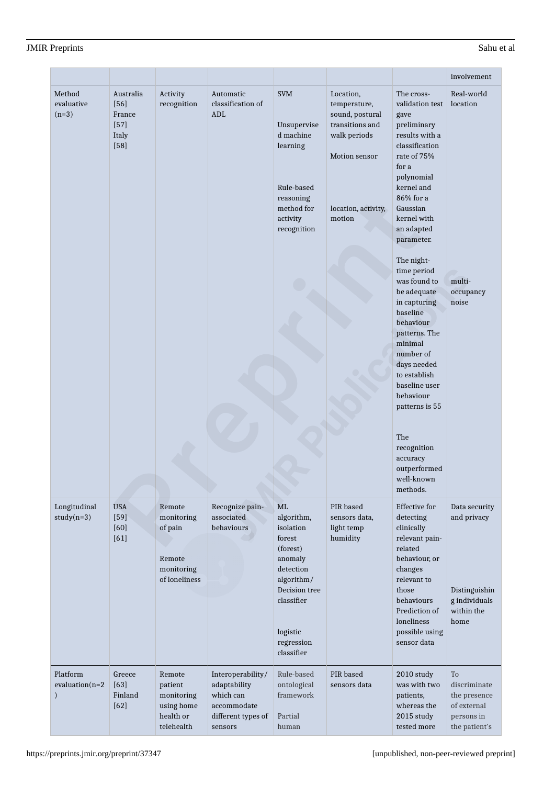#### https://preprints.jmir.org/preprint/37347 [unpublished, non-peer-reviewed preprint]

|                                                |                                                            |                                                                          |                                                                                                |                                                                                                                                                                  |                                                                                                                                   |                                                                                                                                                                                                                                                                                                                                                                                                                                                                                                                           | involvement                                                                          |
|------------------------------------------------|------------------------------------------------------------|--------------------------------------------------------------------------|------------------------------------------------------------------------------------------------|------------------------------------------------------------------------------------------------------------------------------------------------------------------|-----------------------------------------------------------------------------------------------------------------------------------|---------------------------------------------------------------------------------------------------------------------------------------------------------------------------------------------------------------------------------------------------------------------------------------------------------------------------------------------------------------------------------------------------------------------------------------------------------------------------------------------------------------------------|--------------------------------------------------------------------------------------|
| Method<br>evaluative<br>$(n=3)$                | Australia<br>$[56]$<br>France<br>$[57]$<br>Italy<br>$[58]$ | Activity<br>recognition                                                  | Automatic<br>classification of<br>ADL                                                          | <b>SVM</b><br>Unsupervise<br>d machine<br>learning<br>Rule-based<br>reasoning<br>method for<br>activity<br>recognition                                           | Location,<br>temperature,<br>sound, postural<br>transitions and<br>walk periods<br>Motion sensor<br>location, activity,<br>motion | The cross-<br>validation test<br>gave<br>preliminary<br>results with a<br>classification<br>rate of 75%<br>for a<br>polynomial<br>kernel and<br>86% for a<br>Gaussian<br>kernel with<br>an adapted<br>parameter.<br>The night-<br>time period<br>was found to<br>be adequate<br>in capturing<br>baseline<br>behaviour<br>patterns. The<br>minimal<br>number of<br>days needed<br>to establish<br>baseline user<br>behaviour<br>patterns is 55<br>The<br>recognition<br>accuracy<br>outperformed<br>well-known<br>methods. | Real-world<br>location<br>multi-<br>occupancy<br>noise                               |
| Longitudinal<br>$study(n=3)$                   | <b>USA</b><br>$[59]$<br>$[60]$<br>[61]                     | Remote<br>monitoring<br>of pain<br>Remote<br>monitoring<br>of loneliness | Recognize pain-<br>associated<br>behaviours                                                    | ML<br>algorithm,<br>isolation<br>forest<br>(forest)<br>anomaly<br>detection<br>algorithm/<br>Decision tree<br>classifier<br>logistic<br>regression<br>classifier | PIR based<br>sensors data,<br>light temp<br>humidity                                                                              | Effective for<br>detecting<br>clinically<br>relevant pain-<br>related<br>behaviour, or<br>changes<br>relevant to<br>those<br>behaviours<br>Prediction of<br>loneliness<br>possible using<br>sensor data                                                                                                                                                                                                                                                                                                                   | Data security<br>and privacy<br>Distinguishin<br>g individuals<br>within the<br>home |
| Platform<br>$evaluation(n=2)$<br>$\mathcal{E}$ | Greece<br>[63]<br>Finland<br>$[62]$                        | Remote<br>patient<br>monitoring<br>using home<br>health or<br>telehealth | Interoperability/<br>adaptability<br>which can<br>accommodate<br>different types of<br>sensors | Rule-based<br>ontological<br>framework<br>Partial<br>human                                                                                                       | PIR based<br>sensors data                                                                                                         | 2010 study<br>was with two<br>patients,<br>whereas the<br>2015 study<br>tested more                                                                                                                                                                                                                                                                                                                                                                                                                                       | To<br>discriminate<br>the presence<br>of external<br>persons in<br>the patient's     |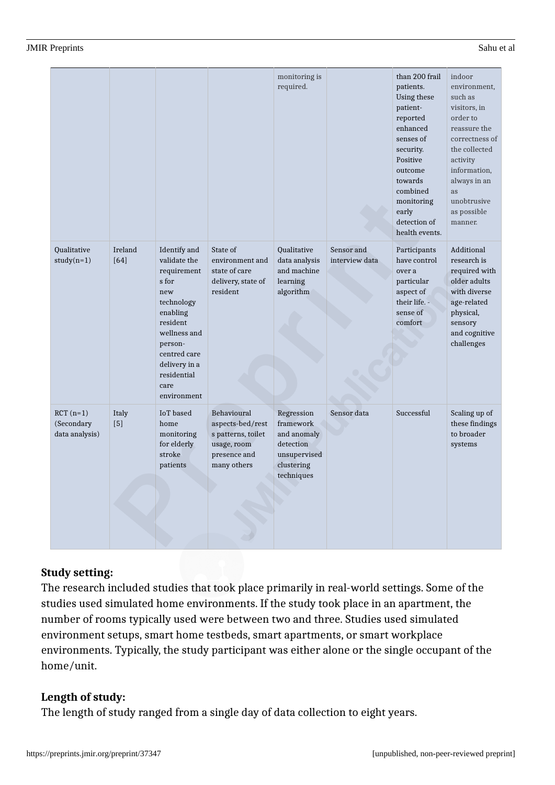|                                            |                 |                                                                                                                                                                                                     |                                                                                                     | monitoring is<br>required.                                                                      |                              | than 200 frail<br>patients.<br>Using these<br>patient-<br>reported<br>enhanced<br>senses of<br>security.<br>Positive<br>outcome<br>towards<br>combined<br>monitoring<br>early<br>detection of<br>health events. | indoor<br>environment,<br>such as<br>visitors, in<br>order to<br>reassure the<br>correctness of<br>the collected<br>activity<br>information,<br>always in an<br>as<br>unobtrusive<br>as possible<br>manner. |
|--------------------------------------------|-----------------|-----------------------------------------------------------------------------------------------------------------------------------------------------------------------------------------------------|-----------------------------------------------------------------------------------------------------|-------------------------------------------------------------------------------------------------|------------------------------|-----------------------------------------------------------------------------------------------------------------------------------------------------------------------------------------------------------------|-------------------------------------------------------------------------------------------------------------------------------------------------------------------------------------------------------------|
| <b>Qualitative</b><br>$study(n=1)$         | Ireland<br>[64] | Identify and<br>validate the<br>requirement<br>s for<br>new<br>technology<br>enabling<br>resident<br>wellness and<br>person-<br>centred care<br>delivery in a<br>residential<br>care<br>environment | State of<br>environment and<br>state of care<br>delivery, state of<br>resident                      | Qualitative<br>data analysis<br>and machine<br>learning<br>algorithm                            | Sensor and<br>interview data | Participants<br>have control<br>over a<br>particular<br>aspect of<br>their life. -<br>sense of<br>comfort                                                                                                       | Additional<br>research is<br>required with<br>older adults<br>with diverse<br>age-related<br>physical,<br>sensory<br>and cognitive<br>challenges                                                            |
| $RCT(n=1)$<br>(Secondary<br>data analysis) | Italy<br>$[5]$  | <b>IoT</b> based<br>home<br>monitoring<br>for elderly<br>stroke<br>patients                                                                                                                         | Behavioural<br>aspects-bed/rest<br>s patterns, toilet<br>usage, room<br>presence and<br>many others | Regression<br>framework<br>and anomaly<br>detection<br>unsupervised<br>clustering<br>techniques | Sensor data                  | Successful                                                                                                                                                                                                      | Scaling up of<br>these findings<br>to broader<br>systems                                                                                                                                                    |

### **Study setting:**

The research included studies that took place primarily in real-world settings. Some of the studies used simulated home environments. If the study took place in an apartment, the number of rooms typically used were between two and three. Studies used simulated environment setups, smart home testbeds, smart apartments, or smart workplace environments. Typically, the study participant was either alone or the single occupant of the home/unit.

### **Length of study:**

The length of study ranged from a single day of data collection to eight years.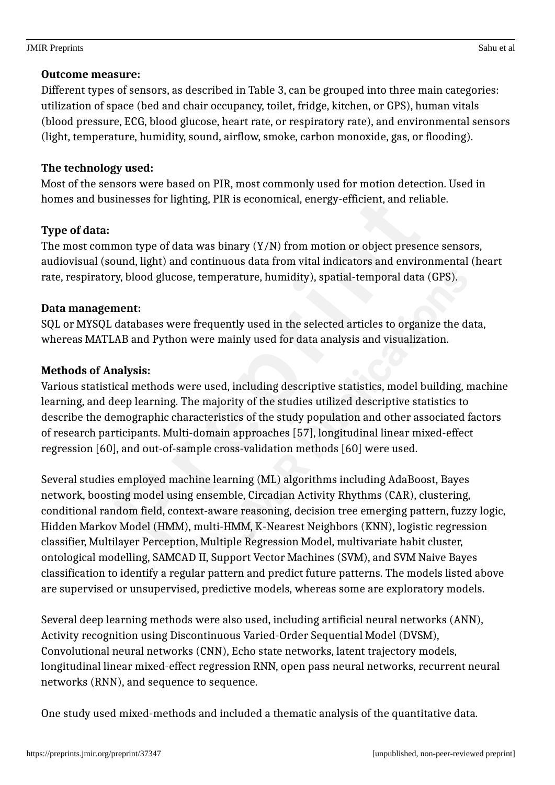Different types of sensors, as described in Table 3, can be grouped into three main categories: utilization of space (bed and chair occupancy, toilet, fridge, kitchen, or GPS), human vitals (blood pressure, ECG, blood glucose, heart rate, or respiratory rate), and environmental sensors (light, temperature, humidity, sound, airflow, smoke, carbon monoxide, gas, or flooding).

## **The technology used:**

Most of the sensors were based on PIR, most commonly used for motion detection. Used in homes and businesses for lighting, PIR is economical, energy-efficient, and reliable.

## **Type of data:**

The most common type of data was binary  $(Y/N)$  from motion or object presence sensors, audiovisual (sound, light) and continuous data from vital indicators and environmental (heart rate, respiratory, blood glucose, temperature, humidity), spatial-temporal data (GPS).

## **Data management:**

SQL or MYSQL databases were frequently used in the selected articles to organize the data, whereas MATLAB and Python were mainly used for data analysis and visualization.

## **Methods of Analysis:**

Various statistical methods were used, including descriptive statistics, model building, machine learning, and deep learning. The majority of the studies utilized descriptive statistics to describe the demographic characteristics of the study population and other associated factors of research participants. Multi-domain approaches [57], longitudinal linear mixed-effect regression [60], and out-of-sample cross-validation methods [60] were used.

Several studies employed machine learning (ML) algorithms including AdaBoost, Bayes network, boosting model using ensemble, Circadian Activity Rhythms (CAR), clustering, conditional random field, context-aware reasoning, decision tree emerging pattern, fuzzy logic, Hidden Markov Model (HMM), multi-HMM, K-Nearest Neighbors (KNN), logistic regression classifier, Multilayer Perception, Multiple Regression Model, multivariate habit cluster, ontological modelling, SAMCAD II, Support Vector Machines (SVM), and SVM Naive Bayes classification to identify a regular pattern and predict future patterns. The models listed above are supervised or unsupervised, predictive models, whereas some are exploratory models.

Several deep learning methods were also used, including artificial neural networks (ANN), Activity recognition using Discontinuous Varied-Order Sequential Model (DVSM), Convolutional neural networks (CNN), Echo state networks, latent trajectory models, longitudinal linear mixed-effect regression RNN, open pass neural networks, recurrent neural networks (RNN), and sequence to sequence.

One study used mixed-methods and included a thematic analysis of the quantitative data.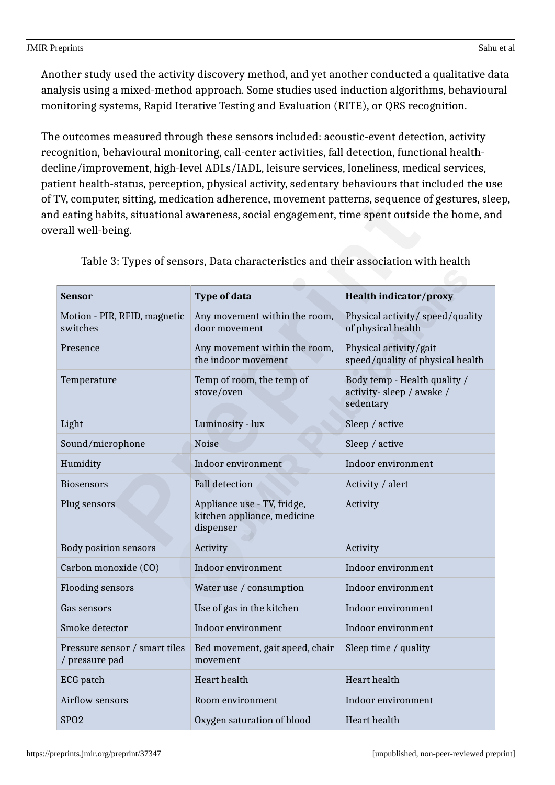Another study used the activity discovery method, and yet another conducted a qualitative data analysis using a mixed-method approach. Some studies used induction algorithms, behavioural monitoring systems, Rapid Iterative Testing and Evaluation (RITE), or QRS recognition.

The outcomes measured through these sensors included: acoustic-event detection, activity recognition, behavioural monitoring, call-center activities, fall detection, functional healthdecline/improvement, high-level ADLs/IADL, leisure services, loneliness, medical services, patient health-status, perception, physical activity, sedentary behaviours that included the use of TV, computer, sitting, medication adherence, movement patterns, sequence of gestures, sleep, and eating habits, situational awareness, social engagement, time spent outside the home, and overall well-being.

| Sensor                                          | <b>Type of data</b>                                                     | <b>Health indicator/proxy</b>                                         |
|-------------------------------------------------|-------------------------------------------------------------------------|-----------------------------------------------------------------------|
| Motion - PIR, RFID, magnetic<br>switches        | Any movement within the room,<br>door movement                          | Physical activity/speed/quality<br>of physical health                 |
| Presence                                        | Any movement within the room,<br>the indoor movement                    | Physical activity/gait<br>speed/quality of physical health            |
| Temperature                                     | Temp of room, the temp of<br>stove/oven                                 | Body temp - Health quality /<br>activity-sleep / awake /<br>sedentary |
| Light                                           | Luminosity - lux                                                        | Sleep / active                                                        |
| Sound/microphone                                | <b>Noise</b>                                                            | Sleep / active                                                        |
| Humidity                                        | Indoor environment                                                      | Indoor environment                                                    |
| <b>Biosensors</b>                               | <b>Fall detection</b>                                                   | Activity / alert                                                      |
| Plug sensors                                    | Appliance use - TV, fridge,<br>kitchen appliance, medicine<br>dispenser | Activity                                                              |
| <b>Body position sensors</b>                    | Activity                                                                | Activity                                                              |
| Carbon monoxide (CO)                            | Indoor environment                                                      | Indoor environment                                                    |
| <b>Flooding sensors</b>                         | Water use / consumption                                                 | Indoor environment                                                    |
| Gas sensors                                     | Use of gas in the kitchen                                               | Indoor environment                                                    |
| Smoke detector                                  | Indoor environment                                                      | Indoor environment                                                    |
| Pressure sensor / smart tiles<br>/ pressure pad | Bed movement, gait speed, chair<br>movement                             | Sleep time / quality                                                  |
| ECG patch                                       | Heart health                                                            | <b>Heart</b> health                                                   |
| Airflow sensors                                 | Room environment                                                        | Indoor environment                                                    |
| SP <sub>O</sub> 2                               | Oxygen saturation of blood                                              | <b>Heart</b> health                                                   |

Table 3: Types of sensors, Data characteristics and their association with health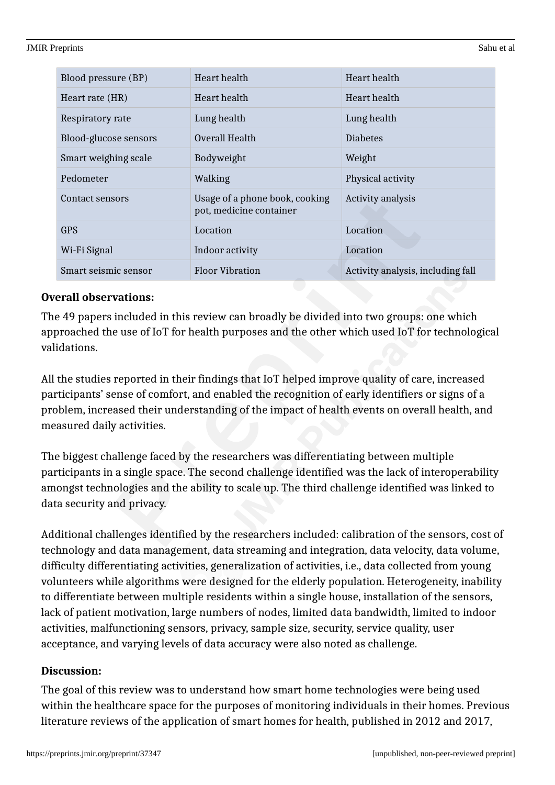| Blood pressure (BP)   | Heart health                                              | Heart health                      |
|-----------------------|-----------------------------------------------------------|-----------------------------------|
| Heart rate (HR)       | Heart health                                              | Heart health                      |
| Respiratory rate      | Lung health                                               | Lung health                       |
| Blood-glucose sensors | Overall Health                                            | <b>Diabetes</b>                   |
| Smart weighing scale  | Bodyweight                                                | Weight                            |
| Pedometer             | Walking                                                   | Physical activity                 |
| Contact sensors       | Usage of a phone book, cooking<br>pot, medicine container | Activity analysis                 |
| <b>GPS</b>            | Location                                                  | Location                          |
| Wi-Fi Signal          | Indoor activity                                           | Location                          |
| Smart seismic sensor  | <b>Floor Vibration</b>                                    | Activity analysis, including fall |

## **Overall observations:**

The 49 papers included in this review can broadly be divided into two groups: one which approached the use of IoT for health purposes and the other which used IoT for technological validations.

All the studies reported in their findings that IoT helped improve quality of care, increased participants' sense of comfort, and enabled the recognition of early identifiers or signs of a problem, increased their understanding of the impact of health events on overall health, and measured daily activities.

The biggest challenge faced by the researchers was differentiating between multiple participants in a single space. The second challenge identified was the lack of interoperability amongst technologies and the ability to scale up. The third challenge identified was linked to data security and privacy.

Additional challenges identified by the researchers included: calibration of the sensors, cost of technology and data management, data streaming and integration, data velocity, data volume, difficulty differentiating activities, generalization of activities, i.e., data collected from young volunteers while algorithms were designed for the elderly population. Heterogeneity, inability to differentiate between multiple residents within a single house, installation of the sensors, lack of patient motivation, large numbers of nodes, limited data bandwidth, limited to indoor activities, malfunctioning sensors, privacy, sample size, security, service quality, user acceptance, and varying levels of data accuracy were also noted as challenge.

## **Discussion:**

The goal of this review was to understand how smart home technologies were being used within the healthcare space for the purposes of monitoring individuals in their homes. Previous literature reviews of the application of smart homes for health, published in 2012 and 2017,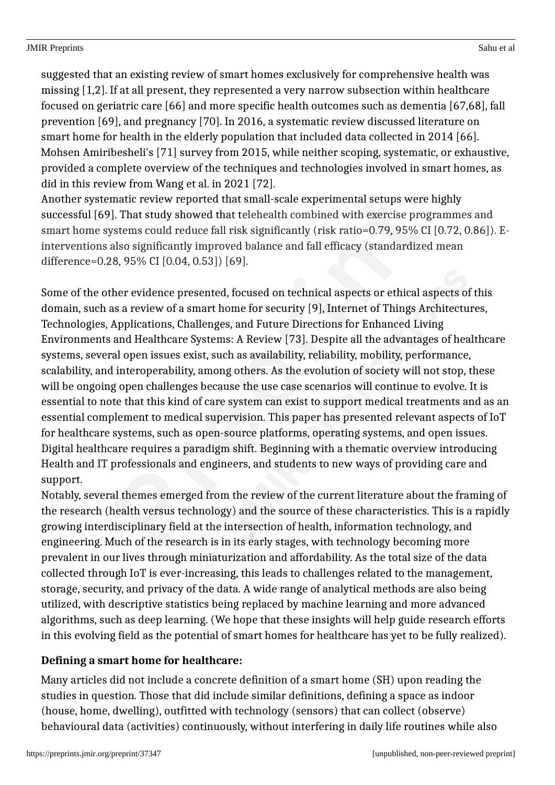suggested that an existing review of smart homes exclusively for comprehensive health was missing [1,2]. If at all present, they represented a very narrow subsection within healthcare focused on geriatric care [66] and more specific health outcomes such as dementia [67,68], fall prevention [69], and pregnancy [70]. In 2016, a systematic review discussed literature on smart home for health in the elderly population that included data collected in 2014 [66]. Mohsen Amiribesheli's [71] survey from 2015, while neither scoping, systematic, or exhaustive, provided a complete overview of the techniques and technologies involved in smart homes, as did in this review from Wang et al. in 2021 [72].

Another systematic review reported that small-scale experimental setups were highly successful [69]. That study showed that telehealth combined with exercise programmes and smart home systems could reduce fall risk significantly (risk ratio=0.79, 95% CI [0.72, 0.86]). Einterventions also significantly improved balance and fall efficacy (standardized mean difference=0.28, 95% CI [0.04, 0.53]) [69].

Some of the other evidence presented, focused on technical aspects or ethical aspects of this domain, such as a review of a smart home for security [9], Internet of Things Architectures, Technologies, Applications, Challenges, and Future Directions for Enhanced Living Environments and Healthcare Systems: A Review [73]. Despite all the advantages of healthcare systems, several open issues exist, such as availability, reliability, mobility, performance, scalability, and interoperability, among others. As the evolution of society will not stop, these will be ongoing open challenges because the use case scenarios will continue to evolve. It is essential to note that this kind of care system can exist to support medical treatments and as an essential complement to medical supervision. This paper has presented relevant aspects of IoT for healthcare systems, such as open-source platforms, operating systems, and open issues. Digital healthcare requires a paradigm shift. Beginning with a thematic overview introducing Health and IT professionals and engineers, and students to new ways of providing care and support.

Notably, several themes emerged from the review of the current literature about the framing of the research (health versus technology) and the source of these characteristics. This is a rapidly growing interdisciplinary field at the intersection of health, information technology, and engineering. Much of the research is in its early stages, with technology becoming more prevalent in our lives through miniaturization and affordability. As the total size of the data collected through IoT is ever-increasing, this leads to challenges related to the management, storage, security, and privacy of the data. A wide range of analytical methods are also being utilized, with descriptive statistics being replaced by machine learning and more advanced algorithms, such as deep learning. (We hope that these insights will help guide research efforts in this evolving field as the potential of smart homes for healthcare has yet to be fully realized).

## **Defining a smart home for healthcare:**

Many articles did not include a concrete definition of a smart home (SH) upon reading the studies in question. Those that did include similar definitions, defining a space as indoor (house, home, dwelling), outfitted with technology (sensors) that can collect (observe) behavioural data (activities) continuously, without interfering in daily life routines while also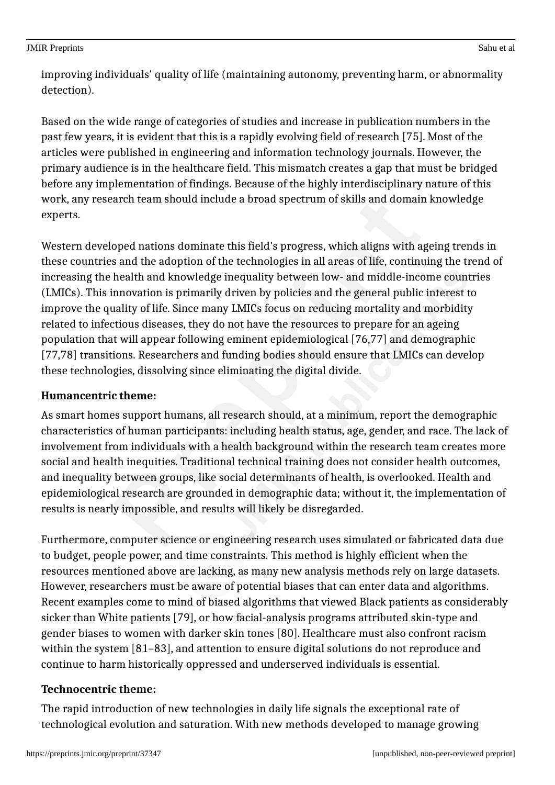improving individuals' quality of life (maintaining autonomy, preventing harm, or abnormality detection).

Based on the wide range of categories of studies and increase in publication numbers in the past few years, it is evident that this is a rapidly evolving field of research [75]. Most of the articles were published in engineering and information technology journals. However, the primary audience is in the healthcare field. This mismatch creates a gap that must be bridged before any implementation of findings. Because of the highly interdisciplinary nature of this work, any research team should include a broad spectrum of skills and domain knowledge experts.

Western developed nations dominate this field's progress, which aligns with ageing trends in these countries and the adoption of the technologies in all areas of life, continuing the trend of increasing the health and knowledge inequality between low- and middle-income countries (LMICs). This innovation is primarily driven by policies and the general public interest to improve the quality of life. Since many LMICs focus on reducing mortality and morbidity related to infectious diseases, they do not have the resources to prepare for an ageing population that will appear following eminent epidemiological [76,77] and demographic [77,78] transitions. Researchers and funding bodies should ensure that LMICs can develop these technologies, dissolving since eliminating the digital divide.

## **Humancentric theme:**

As smart homes support humans, all research should, at a minimum, report the demographic characteristics of human participants: including health status, age, gender, and race. The lack of involvement from individuals with a health background within the research team creates more social and health inequities. Traditional technical training does not consider health outcomes, and inequality between groups, like social determinants of health, is overlooked. Health and epidemiological research are grounded in demographic data; without it, the implementation of results is nearly impossible, and results will likely be disregarded.

Furthermore, computer science or engineering research uses simulated or fabricated data due to budget, people power, and time constraints. This method is highly efficient when the resources mentioned above are lacking, as many new analysis methods rely on large datasets. However, researchers must be aware of potential biases that can enter data and algorithms. Recent examples come to mind of biased algorithms that viewed Black patients as considerably sicker than White patients [79], or how facial-analysis programs attributed skin-type and gender biases to women with darker skin tones [80]. Healthcare must also confront racism within the system [81–83], and attention to ensure digital solutions do not reproduce and continue to harm historically oppressed and underserved individuals is essential.

## **Technocentric theme:**

The rapid introduction of new technologies in daily life signals the exceptional rate of technological evolution and saturation. With new methods developed to manage growing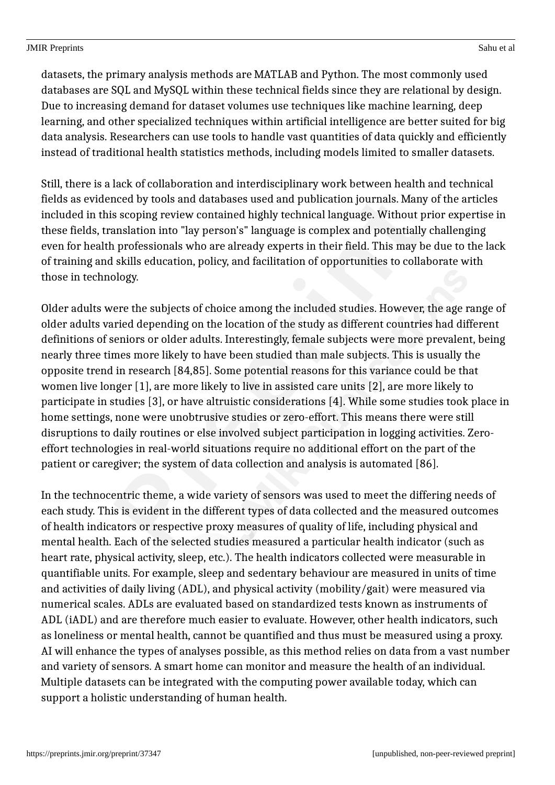datasets, the primary analysis methods are MATLAB and Python. The most commonly used databases are SQL and MySQL within these technical fields since they are relational by design. Due to increasing demand for dataset volumes use techniques like machine learning, deep learning, and other specialized techniques within artificial intelligence are better suited for big data analysis. Researchers can use tools to handle vast quantities of data quickly and efficiently instead of traditional health statistics methods, including models limited to smaller datasets.

Still, there is a lack of collaboration and interdisciplinary work between health and technical fields as evidenced by tools and databases used and publication journals. Many of the articles included in this scoping review contained highly technical language. Without prior expertise in these fields, translation into "lay person's" language is complex and potentially challenging even for health professionals who are already experts in their field. This may be due to the lack of training and skills education, policy, and facilitation of opportunities to collaborate with those in technology.

Older adults were the subjects of choice among the included studies. However, the age range of older adults varied depending on the location of the study as different countries had different definitions of seniors or older adults. Interestingly, female subjects were more prevalent, being nearly three times more likely to have been studied than male subjects. This is usually the opposite trend in research [84,85]. Some potential reasons for this variance could be that women live longer [1], are more likely to live in assisted care units [2], are more likely to participate in studies [3], or have altruistic considerations [4]. While some studies took place in home settings, none were unobtrusive studies or zero-effort. This means there were still disruptions to daily routines or else involved subject participation in logging activities. Zeroeffort technologies in real-world situations require no additional effort on the part of the patient or caregiver; the system of data collection and analysis is automated [86].

In the technocentric theme, a wide variety of sensors was used to meet the differing needs of each study. This is evident in the different types of data collected and the measured outcomes of health indicators or respective proxy measures of quality of life, including physical and mental health. Each of the selected studies measured a particular health indicator (such as heart rate, physical activity, sleep, etc.). The health indicators collected were measurable in quantifiable units. For example, sleep and sedentary behaviour are measured in units of time and activities of daily living (ADL), and physical activity (mobility/gait) were measured via numerical scales. ADLs are evaluated based on standardized tests known as instruments of ADL (iADL) and are therefore much easier to evaluate. However, other health indicators, such as loneliness or mental health, cannot be quantified and thus must be measured using a proxy. AI will enhance the types of analyses possible, as this method relies on data from a vast number and variety of sensors. A smart home can monitor and measure the health of an individual. Multiple datasets can be integrated with the computing power available today, which can support a holistic understanding of human health.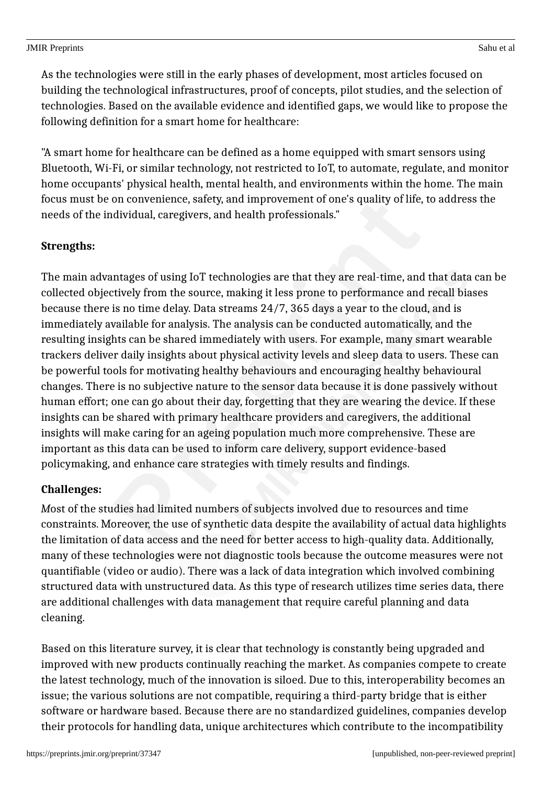As the technologies were still in the early phases of development, most articles focused on building the technological infrastructures, proof of concepts, pilot studies, and the selection of technologies. Based on the available evidence and identified gaps, we would like to propose the following definition for a smart home for healthcare:

"A smart home for healthcare can be defined as a home equipped with smart sensors using Bluetooth, Wi-Fi, or similar technology, not restricted to IoT, to automate, regulate, and monitor home occupants' physical health, mental health, and environments within the home. The main focus must be on convenience, safety, and improvement of one's quality of life, to address the needs of the individual, caregivers, and health professionals."

## **Strengths:**

The main advantages of using IoT technologies are that they are real-time, and that data can be collected objectively from the source, making it less prone to performance and recall biases because there is no time delay. Data streams 24/7, 365 days a year to the cloud, and is immediately available for analysis. The analysis can be conducted automatically, and the resulting insights can be shared immediately with users. For example, many smart wearable trackers deliver daily insights about physical activity levels and sleep data to users. These can be powerful tools for motivating healthy behaviours and encouraging healthy behavioural changes. There is no subjective nature to the sensor data because it is done passively without human effort; one can go about their day, forgetting that they are wearing the device. If these insights can be shared with primary healthcare providers and caregivers, the additional insights will make caring for an ageing population much more comprehensive. These are important as this data can be used to inform care delivery, support evidence-based policymaking, and enhance care strategies with timely results and findings.

## **Challenges:**

*M*ost of the studies had limited numbers of subjects involved due to resources and time constraints. Moreover, the use of synthetic data despite the availability of actual data highlights the limitation of data access and the need for better access to high-quality data. Additionally, many of these technologies were not diagnostic tools because the outcome measures were not quantifiable (video or audio). There was a lack of data integration which involved combining structured data with unstructured data. As this type of research utilizes time series data, there are additional challenges with data management that require careful planning and data cleaning.

Based on this literature survey, it is clear that technology is constantly being upgraded and improved with new products continually reaching the market. As companies compete to create the latest technology, much of the innovation is siloed. Due to this, interoperability becomes an issue; the various solutions are not compatible, requiring a third-party bridge that is either software or hardware based. Because there are no standardized guidelines, companies develop their protocols for handling data, unique architectures which contribute to the incompatibility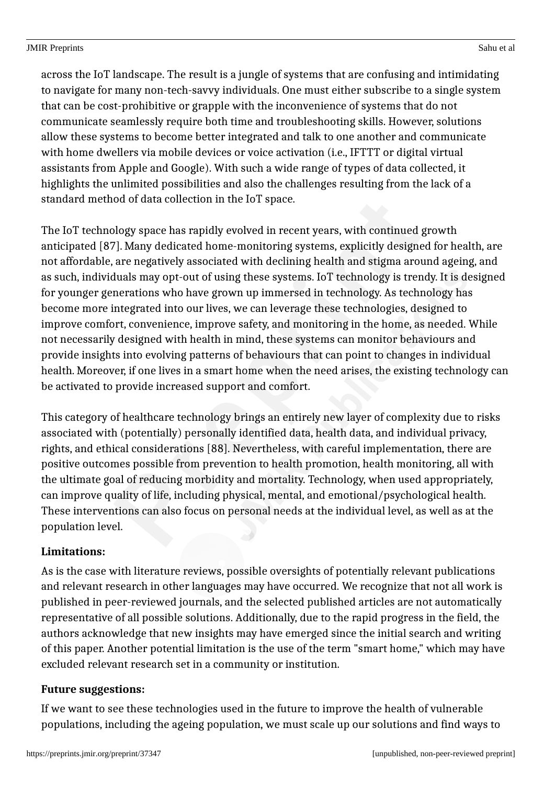across the IoT landscape. The result is a jungle of systems that are confusing and intimidating to navigate for many non-tech-savvy individuals. One must either subscribe to a single system that can be cost-prohibitive or grapple with the inconvenience of systems that do not communicate seamlessly require both time and troubleshooting skills. However, solutions allow these systems to become better integrated and talk to one another and communicate with home dwellers via mobile devices or voice activation (i.e., IFTTT or digital virtual assistants from Apple and Google). With such a wide range of types of data collected, it highlights the unlimited possibilities and also the challenges resulting from the lack of a standard method of data collection in the IoT space.

The IoT technology space has rapidly evolved in recent years, with continued growth anticipated [87]. Many dedicated home-monitoring systems, explicitly designed for health, are not affordable, are negatively associated with declining health and stigma around ageing, and as such, individuals may opt-out of using these systems. IoT technology is trendy. It is designed for younger generations who have grown up immersed in technology. As technology has become more integrated into our lives, we can leverage these technologies, designed to improve comfort, convenience, improve safety, and monitoring in the home, as needed. While not necessarily designed with health in mind, these systems can monitor behaviours and provide insights into evolving patterns of behaviours that can point to changes in individual health. Moreover, if one lives in a smart home when the need arises, the existing technology can be activated to provide increased support and comfort.

This category of healthcare technology brings an entirely new layer of complexity due to risks associated with (potentially) personally identified data, health data, and individual privacy, rights, and ethical considerations [88]. Nevertheless, with careful implementation, there are positive outcomes possible from prevention to health promotion, health monitoring, all with the ultimate goal of reducing morbidity and mortality. Technology, when used appropriately, can improve quality of life, including physical, mental, and emotional/psychological health. These interventions can also focus on personal needs at the individual level, as well as at the population level.

## **Limitations:**

As is the case with literature reviews, possible oversights of potentially relevant publications and relevant research in other languages may have occurred. We recognize that not all work is published in peer-reviewed journals, and the selected published articles are not automatically representative of all possible solutions. Additionally, due to the rapid progress in the field, the authors acknowledge that new insights may have emerged since the initial search and writing of this paper. Another potential limitation is the use of the term "smart home," which may have excluded relevant research set in a community or institution.

## **Future suggestions:**

If we want to see these technologies used in the future to improve the health of vulnerable populations, including the ageing population, we must scale up our solutions and find ways to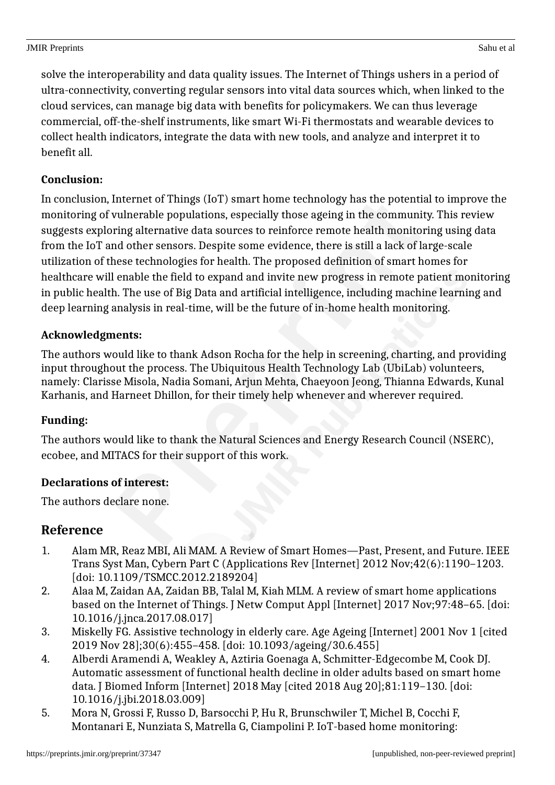solve the interoperability and data quality issues. The Internet of Things ushers in a period of ultra-connectivity, converting regular sensors into vital data sources which, when linked to the cloud services, can manage big data with benefits for policymakers. We can thus leverage commercial, off-the-shelf instruments, like smart Wi-Fi thermostats and wearable devices to collect health indicators, integrate the data with new tools, and analyze and interpret it to benefit all.

## **Conclusion:**

In conclusion, Internet of Things (IoT) smart home technology has the potential to improve the monitoring of vulnerable populations, especially those ageing in the community. This review suggests exploring alternative data sources to reinforce remote health monitoring using data from the IoT and other sensors. Despite some evidence, there is still a lack of large-scale utilization of these technologies for health. The proposed definition of smart homes for healthcare will enable the field to expand and invite new progress in remote patient monitoring in public health. The use of Big Data and artificial intelligence, including machine learning and deep learning analysis in real-time, will be the future of in-home health monitoring.

## **Acknowledgments:**

The authors would like to thank Adson Rocha for the help in screening, charting, and providing input throughout the process. The Ubiquitous Health Technology Lab (UbiLab) volunteers, namely: Clarisse Misola, Nadia Somani, Arjun Mehta, Chaeyoon Jeong, Thianna Edwards, Kunal Karhanis, and Harneet Dhillon, for their timely help whenever and wherever required.

## **Funding:**

The authors would like to thank the Natural Sciences and Energy Research Council (NSERC), ecobee, and MITACS for their support of this work.

## **Declarations of interest:**

The authors declare none.

## **Reference**

- 1. Alam MR, Reaz MBI, Ali MAM. A Review of Smart Homes—Past, Present, and Future. IEEE Trans Syst Man, Cybern Part C (Applications Rev [Internet] 2012 Nov;42(6):1190–1203. [doi: 10.1109/TSMCC.2012.2189204]
- 2. Alaa M, Zaidan AA, Zaidan BB, Talal M, Kiah MLM. A review of smart home applications based on the Internet of Things. J Netw Comput Appl [Internet] 2017 Nov;97:48–65. [doi: 10.1016/j.jnca.2017.08.017]
- 3. Miskelly FG. Assistive technology in elderly care. Age Ageing [Internet] 2001 Nov 1 [cited 2019 Nov 28];30(6):455–458. [doi: 10.1093/ageing/30.6.455]
- 4. Alberdi Aramendi A, Weakley A, Aztiria Goenaga A, Schmitter-Edgecombe M, Cook DJ. Automatic assessment of functional health decline in older adults based on smart home data. J Biomed Inform [Internet] 2018 May [cited 2018 Aug 20];81:119–130. [doi: 10.1016/j.jbi.2018.03.009]
- 5. Mora N, Grossi F, Russo D, Barsocchi P, Hu R, Brunschwiler T, Michel B, Cocchi F, Montanari E, Nunziata S, Matrella G, Ciampolini P. IoT-based home monitoring: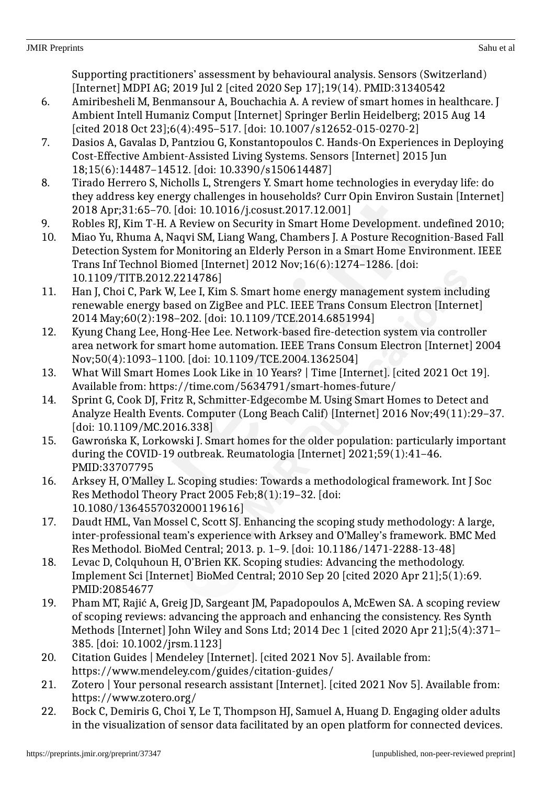Supporting practitioners' assessment by behavioural analysis. Sensors (Switzerland) [Internet] MDPI AG; 2019 Jul 2 [cited 2020 Sep 17];19(14). PMID:31340542

- 6. Amiribesheli M, Benmansour A, Bouchachia A. A review of smart homes in healthcare. J Ambient Intell Humaniz Comput [Internet] Springer Berlin Heidelberg; 2015 Aug 14 [cited 2018 Oct 23];6(4):495-517. [doi: 10.1007/s12652-015-0270-2]
- 7. Dasios A, Gavalas D, Pantziou G, Konstantopoulos C. Hands-On Experiences in Deploying Cost-Effective Ambient-Assisted Living Systems. Sensors [Internet] 2015 Jun 18;15(6):14487–14512. [doi: 10.3390/s150614487]
- 8. Tirado Herrero S, Nicholls L, Strengers Y. Smart home technologies in everyday life: do they address key energy challenges in households? Curr Opin Environ Sustain [Internet] 2018 Apr;31:65–70. [doi: 10.1016/j.cosust.2017.12.001]
- 9. Robles RJ, Kim T-H. A Review on Security in Smart Home Development. undefined 2010;
- 10. Miao Yu, Rhuma A, Naqvi SM, Liang Wang, Chambers J. A Posture Recognition-Based Fall Detection System for Monitoring an Elderly Person in a Smart Home Environment. IEEE Trans Inf Technol Biomed [Internet] 2012 Nov;16(6):1274–1286. [doi: 10.1109/TITB.2012.2214786]
- 11. Han J, Choi C, Park W, Lee I, Kim S. Smart home energy management system including renewable energy based on ZigBee and PLC. IEEE Trans Consum Electron [Internet] 2014 May;60(2):198–202. [doi: 10.1109/TCE.2014.6851994]
- 12. Kyung Chang Lee, Hong-Hee Lee. Network-based fire-detection system via controller area network for smart home automation. IEEE Trans Consum Electron [Internet] 2004 Nov;50(4):1093–1100. [doi: 10.1109/TCE.2004.1362504]
- 13. What Will Smart Homes Look Like in 10 Years? | Time [Internet]. [cited 2021 Oct 19]. Available from: https://time.com/5634791/smart-homes-future/
- 14. Sprint G, Cook DJ, Fritz R, Schmitter-Edgecombe M. Using Smart Homes to Detect and Analyze Health Events. Computer (Long Beach Calif) [Internet] 2016 Nov;49(11):29–37. [doi: 10.1109/MC.2016.338]
- 15. Gawrońska K, Lorkowski J. Smart homes for the older population: particularly important during the COVID-19 outbreak. Reumatologia [Internet] 2021;59(1):41–46. PMID:33707795
- 16. Arksey H, O'Malley L. Scoping studies: Towards a methodological framework. Int J Soc Res Methodol Theory Pract 2005 Feb;8(1):19–32. [doi: 10.1080/1364557032000119616]
- 17. Daudt HML, Van Mossel C, Scott SJ. Enhancing the scoping study methodology: A large, inter-professional team's experience with Arksey and O'Malley's framework. BMC Med Res Methodol. BioMed Central; 2013. p. 1–9. [doi: 10.1186/1471-2288-13-48]
- 18. Levac D, Colquhoun H, O'Brien KK. Scoping studies: Advancing the methodology. Implement Sci [Internet] BioMed Central; 2010 Sep 20 [cited 2020 Apr 21];5(1):69. PMID:20854677
- 19. Pham MT, Rajić A, Greig JD, Sargeant JM, Papadopoulos A, McEwen SA. A scoping review of scoping reviews: advancing the approach and enhancing the consistency. Res Synth Methods [Internet] John Wiley and Sons Ltd; 2014 Dec 1 [cited 2020 Apr 21];5(4):371– 385. [doi: 10.1002/jrsm.1123]
- 20. Citation Guides | Mendeley [Internet]. [cited 2021 Nov 5]. Available from: https://www.mendeley.com/guides/citation-guides/
- 21. Zotero | Your personal research assistant [Internet]. [cited 2021 Nov 5]. Available from: https://www.zotero.org/
- 22. Bock C, Demiris G, Choi Y, Le T, Thompson HJ, Samuel A, Huang D. Engaging older adults in the visualization of sensor data facilitated by an open platform for connected devices.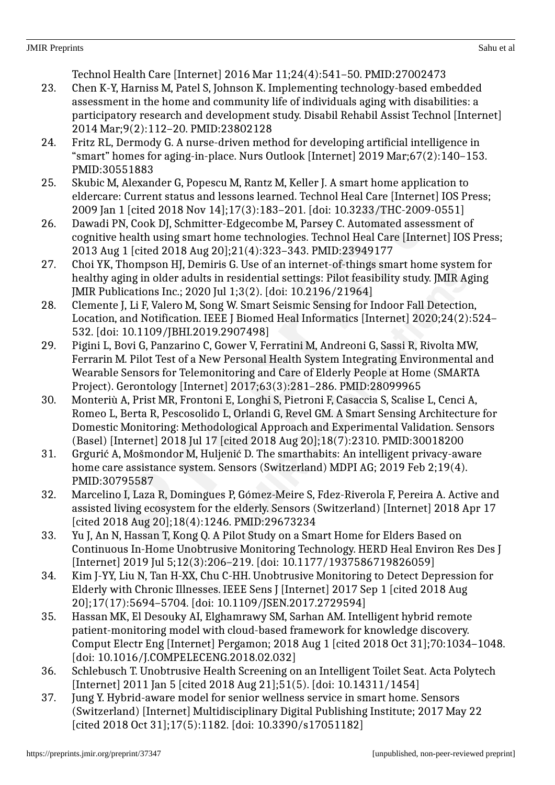- 27. Choi YK, Thompson HJ, Demiris G. Use of an internet-of-things smart home system for healthy aging in older adults in residential settings: Pilot feasibility study. JMIR Aging JMIR Publications Inc.; 2020 Jul 1;3(2). [doi: 10.2196/21964]
- 28. Clemente J, Li F, Valero M, Song W. Smart Seismic Sensing for Indoor Fall Detection, Location, and Notification. IEEE J Biomed Heal Informatics [Internet] 2020;24(2):524– 532. [doi: 10.1109/JBHI.2019.2907498]
- 29. Pigini L, Bovi G, Panzarino C, Gower V, Ferratini M, Andreoni G, Sassi R, Rivolta MW, Ferrarin M. Pilot Test of a New Personal Health System Integrating Environmental and Wearable Sensors for Telemonitoring and Care of Elderly People at Home (SMARTA Project). Gerontology [Internet] 2017;63(3):281–286. PMID:28099965
- 30. Monteriù A, Prist MR, Frontoni E, Longhi S, Pietroni F, Casaccia S, Scalise L, Cenci A, Romeo L, Berta R, Pescosolido L, Orlandi G, Revel GM. A Smart Sensing Architecture for Domestic Monitoring: Methodological Approach and Experimental Validation. Sensors (Basel) [Internet] 2018 Jul 17 [cited 2018 Aug 20];18(7):2310. PMID:30018200
- 31. Grgurić A, Mošmondor M, Huljenić D. The smarthabits: An intelligent privacy-aware home care assistance system. Sensors (Switzerland) MDPI AG; 2019 Feb 2;19(4). PMID:30795587
- 32. Marcelino I, Laza R, Domingues P, Gómez-Meire S, Fdez-Riverola F, Pereira A. Active and assisted living ecosystem for the elderly. Sensors (Switzerland) [Internet] 2018 Apr 17 [cited 2018 Aug 20];18(4):1246. PMID:29673234
- 33. Yu J, An N, Hassan T, Kong Q. A Pilot Study on a Smart Home for Elders Based on Continuous In-Home Unobtrusive Monitoring Technology. HERD Heal Environ Res Des J [Internet] 2019 Jul 5;12(3):206-219. [doi: 10.1177/1937586719826059]
- 34. Kim J-YY, Liu N, Tan H-XX, Chu C-HH. Unobtrusive Monitoring to Detect Depression for Elderly with Chronic Illnesses. IEEE Sens J [Internet] 2017 Sep 1 [cited 2018 Aug 20];17(17):5694–5704. [doi: 10.1109/JSEN.2017.2729594]
- 35. Hassan MK, El Desouky AI, Elghamrawy SM, Sarhan AM. Intelligent hybrid remote patient-monitoring model with cloud-based framework for knowledge discovery. Comput Electr Eng [Internet] Pergamon; 2018 Aug 1 [cited 2018 Oct 31];70:1034–1048. [doi: 10.1016/J.COMPELECENG.2018.02.032]
- 36. Schlebusch T. Unobtrusive Health Screening on an Intelligent Toilet Seat. Acta Polytech [Internet] 2011 Jan 5 [cited 2018 Aug 21];51(5). [doi: 10.14311/1454]
- 37. Jung Y. Hybrid-aware model for senior wellness service in smart home. Sensors (Switzerland) [Internet] Multidisciplinary Digital Publishing Institute; 2017 May 22 [cited 2018 Oct 31];17(5):1182. [doi: 10.3390/s17051182]
- 23. Chen K-Y, Harniss M, Patel S, Johnson K. Implementing technology-based embedded assessment in the home and community life of individuals aging with disabilities: a participatory research and development study. Disabil Rehabil Assist Technol [Internet] 2014 Mar;9(2):112–20. PMID:23802128
- 24. Fritz RL, Dermody G. A nurse-driven method for developing artificial intelligence in "smart" homes for aging-in-place. Nurs Outlook [Internet] 2019 Mar;67(2):140–153. PMID:30551883
- 25. Skubic M, Alexander G, Popescu M, Rantz M, Keller J. A smart home application to eldercare: Current status and lessons learned. Technol Heal Care [Internet] IOS Press; 2009 Jan 1 [cited 2018 Nov 14];17(3):183–201. [doi: 10.3233/THC-2009-0551]
- 26. Dawadi PN, Cook DJ, Schmitter-Edgecombe M, Parsey C. Automated assessment of cognitive health using smart home technologies. Technol Heal Care [Internet] IOS Press; 2013 Aug 1 [cited 2018 Aug 20];21(4):323–343. PMID:23949177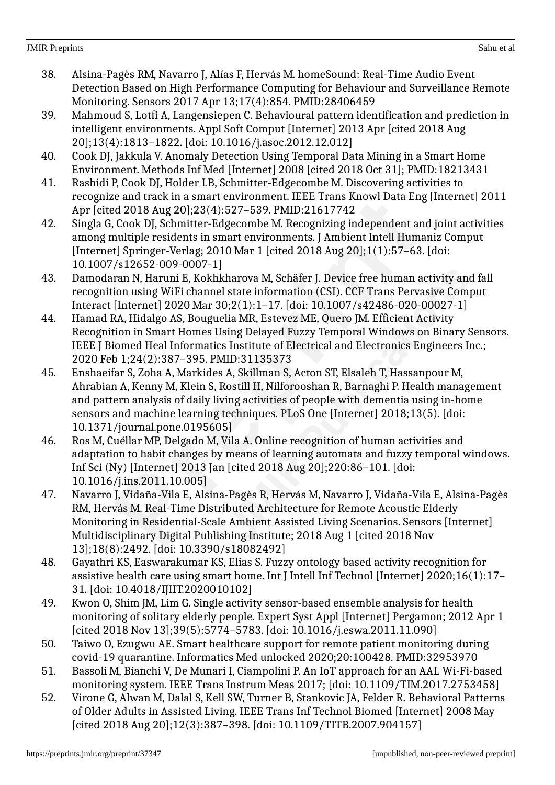- 38. Alsina-Pagès RM, Navarro J, Alías F, Hervás M. homeSound: Real-Time Audio Event Detection Based on High Performance Computing for Behaviour and Surveillance Remote Monitoring. Sensors 2017 Apr 13;17(4):854. PMID:28406459
- 39. Mahmoud S, Lotfi A, Langensiepen C. Behavioural pattern identification and prediction in intelligent environments. Appl Soft Comput [Internet] 2013 Apr [cited 2018 Aug 20];13(4):1813–1822. [doi: 10.1016/j.asoc.2012.12.012]
- 40. Cook DJ, Jakkula V. Anomaly Detection Using Temporal Data Mining in a Smart Home Environment. Methods Inf Med [Internet] 2008 [cited 2018 Oct 31]; PMID:18213431
- 41. Rashidi P, Cook DJ, Holder LB, Schmitter-Edgecombe M. Discovering activities to recognize and track in a smart environment. IEEE Trans Knowl Data Eng [Internet] 2011 Apr [cited 2018 Aug 20];23(4):527–539. PMID:21617742
- 42. Singla G, Cook DJ, Schmitter-Edgecombe M. Recognizing independent and joint activities among multiple residents in smart environments. J Ambient Intell Humaniz Comput [Internet] Springer-Verlag; 2010 Mar 1 [cited 2018 Aug 20];1(1):57–63. [doi: 10.1007/s12652-009-0007-1]
- 43. Damodaran N, Haruni E, Kokhkharova M, Schäfer J. Device free human activity and fall recognition using WiFi channel state information (CSI). CCF Trans Pervasive Comput Interact [Internet] 2020 Mar 30;2(1):1–17. [doi: 10.1007/s42486-020-00027-1]
- 44. Hamad RA, Hidalgo AS, Bouguelia MR, Estevez ME, Quero JM. Efficient Activity Recognition in Smart Homes Using Delayed Fuzzy Temporal Windows on Binary Sensors. IEEE J Biomed Heal Informatics Institute of Electrical and Electronics Engineers Inc.; 2020 Feb 1;24(2):387–395. PMID:31135373
- 45. Enshaeifar S, Zoha A, Markides A, Skillman S, Acton ST, Elsaleh T, Hassanpour M, Ahrabian A, Kenny M, Klein S, Rostill H, Nilforooshan R, Barnaghi P. Health management and pattern analysis of daily living activities of people with dementia using in-home sensors and machine learning techniques. PLoS One [Internet] 2018;13(5). [doi: 10.1371/journal.pone.0195605]
- 46. Ros M, Cuéllar MP, Delgado M, Vila A. Online recognition of human activities and adaptation to habit changes by means of learning automata and fuzzy temporal windows. Inf Sci (Ny) [Internet] 2013 Jan [cited 2018 Aug 20];220:86–101. [doi: 10.1016/j.ins.2011.10.005]
- 47. Navarro J, Vidaña-Vila E, Alsina-Pagès R, Hervás M, Navarro J, Vidaña-Vila E, Alsina-Pagès RM, Hervás M. Real-Time Distributed Architecture for Remote Acoustic Elderly Monitoring in Residential-Scale Ambient Assisted Living Scenarios. Sensors [Internet] Multidisciplinary Digital Publishing Institute; 2018 Aug 1 [cited 2018 Nov 13];18(8):2492. [doi: 10.3390/s18082492]
- 48. Gayathri KS, Easwarakumar KS, Elias S. Fuzzy ontology based activity recognition for assistive health care using smart home. Int J Intell Inf Technol [Internet] 2020;16(1):17– 31. [doi: 10.4018/IJIIT.2020010102]
- 49. Kwon O, Shim JM, Lim G. Single activity sensor-based ensemble analysis for health monitoring of solitary elderly people. Expert Syst Appl [Internet] Pergamon; 2012 Apr 1 [cited 2018 Nov 13];39(5):5774–5783. [doi: 10.1016/j.eswa.2011.11.090]
- 50. Taiwo O, Ezugwu AE. Smart healthcare support for remote patient monitoring during covid-19 quarantine. Informatics Med unlocked 2020;20:100428. PMID:32953970
- 51. Bassoli M, Bianchi V, De Munari I, Ciampolini P. An IoT approach for an AAL Wi-Fi-based monitoring system. IEEE Trans Instrum Meas 2017; [doi: 10.1109/TIM.2017.2753458]
- 52. Virone G, Alwan M, Dalal S, Kell SW, Turner B, Stankovic JA, Felder R. Behavioral Patterns of Older Adults in Assisted Living. IEEE Trans Inf Technol Biomed [Internet] 2008 May [cited 2018 Aug 20];12(3):387–398. [doi: 10.1109/TITB.2007.904157]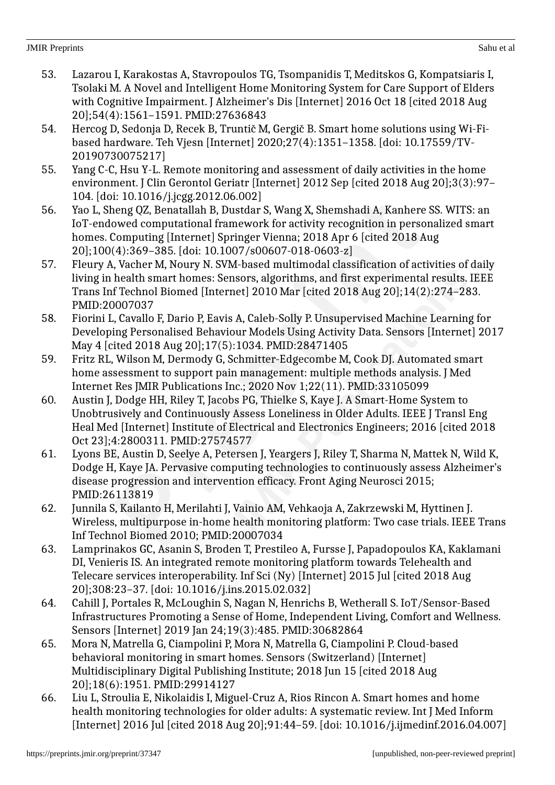- 53. Lazarou I, Karakostas A, Stavropoulos TG, Tsompanidis T, Meditskos G, Kompatsiaris I, Tsolaki M. A Novel and Intelligent Home Monitoring System for Care Support of Elders with Cognitive Impairment. J Alzheimer's Dis [Internet] 2016 Oct 18 [cited 2018 Aug] 20];54(4):1561–1591. PMID:27636843
- 54. Hercog D, Sedonja D, Recek B, Truntič M, Gergič B. Smart home solutions using Wi-Fibased hardware. Teh Vjesn [Internet] 2020;27(4):1351–1358. [doi: 10.17559/TV-20190730075217]
- 55. Yang C-C, Hsu Y-L. Remote monitoring and assessment of daily activities in the home environment. J Clin Gerontol Geriatr [Internet] 2012 Sep [cited 2018 Aug 20];3(3):97– 104. [doi: 10.1016/j.jcgg.2012.06.002]
- 56. Yao L, Sheng QZ, Benatallah B, Dustdar S, Wang X, Shemshadi A, Kanhere SS. WITS: an IoT-endowed computational framework for activity recognition in personalized smart homes. Computing [Internet] Springer Vienna; 2018 Apr 6 [cited 2018 Aug 20];100(4):369–385. [doi: 10.1007/s00607-018-0603-z]
- 57. Fleury A, Vacher M, Noury N. SVM-based multimodal classification of activities of daily living in health smart homes: Sensors, algorithms, and first experimental results. IEEE Trans Inf Technol Biomed [Internet] 2010 Mar [cited 2018 Aug 20];14(2):274–283. PMID:20007037
- 58. Fiorini L, Cavallo F, Dario P, Eavis A, Caleb-Solly P. Unsupervised Machine Learning for Developing Personalised Behaviour Models Using Activity Data. Sensors [Internet] 2017 May 4 [cited 2018 Aug 20];17(5):1034. PMID:28471405
- 59. Fritz RL, Wilson M, Dermody G, Schmitter-Edgecombe M, Cook DJ. Automated smart home assessment to support pain management: multiple methods analysis. J Med Internet Res JMIR Publications Inc.; 2020 Nov 1;22(11). PMID:33105099
- 60. Austin J, Dodge HH, Riley T, Jacobs PG, Thielke S, Kaye J. A Smart-Home System to Unobtrusively and Continuously Assess Loneliness in Older Adults. IEEE J Transl Eng Heal Med [Internet] Institute of Electrical and Electronics Engineers; 2016 [cited 2018 Oct 23];4:2800311. PMID:27574577
- 61. Lyons BE, Austin D, Seelye A, Petersen J, Yeargers J, Riley T, Sharma N, Mattek N, Wild K, Dodge H, Kaye JA. Pervasive computing technologies to continuously assess Alzheimer's disease progression and intervention efficacy. Front Aging Neurosci 2015; PMID:26113819
- 62. Junnila S, Kailanto H, Merilahti J, Vainio AM, Vehkaoja A, Zakrzewski M, Hyttinen J. Wireless, multipurpose in-home health monitoring platform: Two case trials. IEEE Trans Inf Technol Biomed 2010; PMID:20007034
- 63. Lamprinakos GC, Asanin S, Broden T, Prestileo A, Fursse J, Papadopoulos KA, Kaklamani DI, Venieris IS. An integrated remote monitoring platform towards Telehealth and Telecare services interoperability. Inf Sci (Ny) [Internet] 2015 Jul [cited 2018 Aug 20];308:23–37. [doi: 10.1016/j.ins.2015.02.032]
- 64. Cahill J, Portales R, McLoughin S, Nagan N, Henrichs B, Wetherall S. IoT/Sensor-Based Infrastructures Promoting a Sense of Home, Independent Living, Comfort and Wellness. Sensors [Internet] 2019 Jan 24;19(3):485. PMID:30682864
- 65. Mora N, Matrella G, Ciampolini P, Mora N, Matrella G, Ciampolini P. Cloud-based behavioral monitoring in smart homes. Sensors (Switzerland) [Internet] Multidisciplinary Digital Publishing Institute; 2018 Jun 15 [cited 2018 Aug 20];18(6):1951. PMID:29914127
- 66. Liu L, Stroulia E, Nikolaidis I, Miguel-Cruz A, Rios Rincon A. Smart homes and home health monitoring technologies for older adults: A systematic review. Int J Med Inform [Internet] 2016 Jul [cited 2018 Aug 20];91:44–59. [doi: 10.1016/j.ijmedinf.2016.04.007]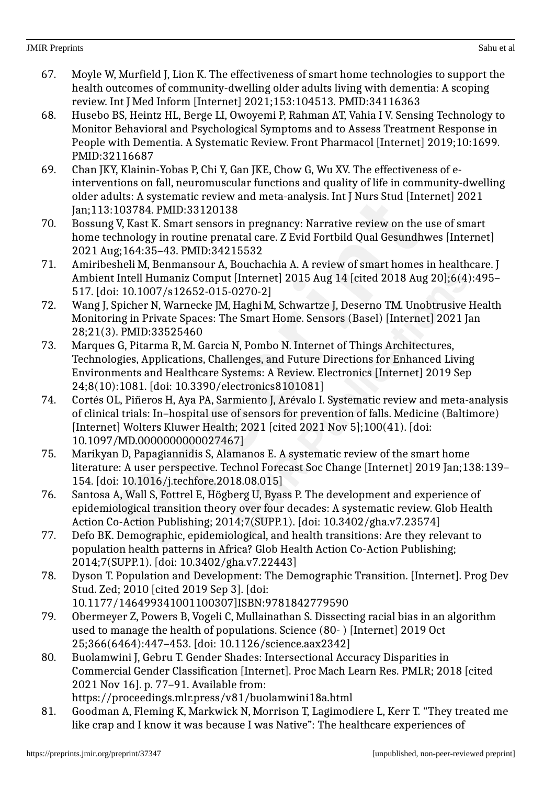- 67. Moyle W, Murfield J, Lion K. The effectiveness of smart home technologies to support the health outcomes of community-dwelling older adults living with dementia: A scoping review. Int J Med Inform [Internet] 2021;153:104513. PMID:34116363
- 68. Husebo BS, Heintz HL, Berge LI, Owoyemi P, Rahman AT, Vahia I V. Sensing Technology to Monitor Behavioral and Psychological Symptoms and to Assess Treatment Response in People with Dementia. A Systematic Review. Front Pharmacol [Internet] 2019;10:1699. PMID:32116687
- 69. Chan JKY, Klainin-Yobas P, Chi Y, Gan JKE, Chow G, Wu XV. The effectiveness of einterventions on fall, neuromuscular functions and quality of life in community-dwelling older adults: A systematic review and meta-analysis. Int J Nurs Stud [Internet] 2021 Jan;113:103784. PMID:33120138
- 70. Bossung V, Kast K. Smart sensors in pregnancy: Narrative review on the use of smart home technology in routine prenatal care. Z Evid Fortbild Qual Gesundhwes [Internet] 2021 Aug;164:35–43. PMID:34215532
- 71. Amiribesheli M, Benmansour A, Bouchachia A. A review of smart homes in healthcare. J Ambient Intell Humaniz Comput [Internet] 2015 Aug 14 [cited 2018 Aug 20];6(4):495– 517. [doi: 10.1007/s12652-015-0270-2]
- 72. Wang J, Spicher N, Warnecke JM, Haghi M, Schwartze J, Deserno TM. Unobtrusive Health Monitoring in Private Spaces: The Smart Home. Sensors (Basel) [Internet] 2021 Jan 28;21(3). PMID:33525460
- 73. Marques G, Pitarma R, M. Garcia N, Pombo N. Internet of Things Architectures, Technologies, Applications, Challenges, and Future Directions for Enhanced Living Environments and Healthcare Systems: A Review. Electronics [Internet] 2019 Sep 24;8(10):1081. [doi: 10.3390/electronics8101081]
- 74. Cortés OL, Piñeros H, Aya PA, Sarmiento J, Arévalo I. Systematic review and meta-analysis of clinical trials: In–hospital use of sensors for prevention of falls. Medicine (Baltimore) [Internet] Wolters Kluwer Health; 2021 [cited 2021 Nov 5];100(41). [doi: 10.1097/MD.0000000000027467]
- 75. Marikyan D, Papagiannidis S, Alamanos E. A systematic review of the smart home literature: A user perspective. Technol Forecast Soc Change [Internet] 2019 Jan;138:139– 154. [doi: 10.1016/j.techfore.2018.08.015]
- 76. Santosa A, Wall S, Fottrel E, Högberg U, Byass P. The development and experience of epidemiological transition theory over four decades: A systematic review. Glob Health Action Co-Action Publishing; 2014;7(SUPP.1). [doi: 10.3402/gha.v7.23574]
- 77. Defo BK. Demographic, epidemiological, and health transitions: Are they relevant to population health patterns in Africa? Glob Health Action Co-Action Publishing; 2014;7(SUPP.1). [doi: 10.3402/gha.v7.22443]
- 78. Dyson T. Population and Development: The Demographic Transition. [Internet]. Prog Dev Stud. Zed; 2010 [cited 2019 Sep 3]. [doi: 10.1177/146499341001100307]ISBN:9781842779590
- 79. Obermeyer Z, Powers B, Vogeli C, Mullainathan S. Dissecting racial bias in an algorithm used to manage the health of populations. Science (80- ) [Internet] 2019 Oct 25;366(6464):447–453. [doi: 10.1126/science.aax2342]
- 80. Buolamwini J, Gebru T. Gender Shades: Intersectional Accuracy Disparities in Commercial Gender Classification [Internet]. Proc Mach Learn Res. PMLR; 2018 [cited 2021 Nov 16]. p. 77–91. Available from: https://proceedings.mlr.press/v81/buolamwini18a.html
- 81. Goodman A, Fleming K, Markwick N, Morrison T, Lagimodiere L, Kerr T. "They treated me like crap and I know it was because I was Native": The healthcare experiences of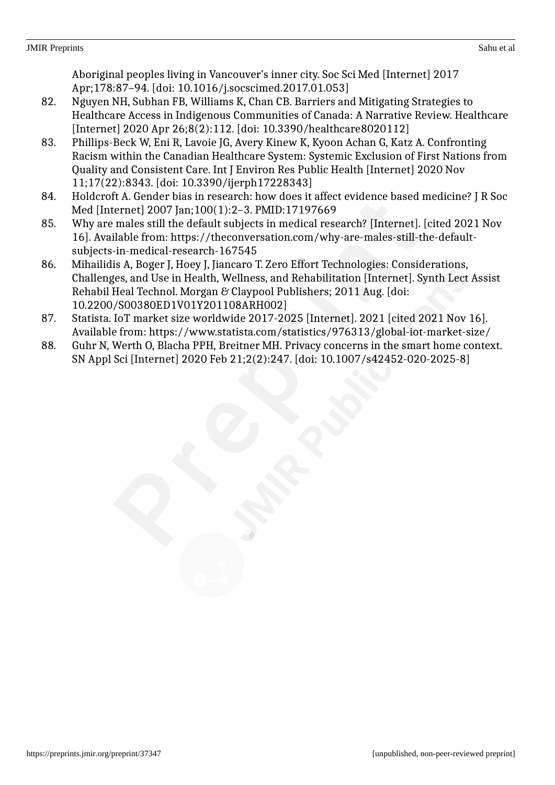Aboriginal peoples living in Vancouver's inner city. Soc Sci Med [Internet] 2017 Apr;178:87–94. [doi: 10.1016/j.socscimed.2017.01.053]

- 82. Nguyen NH, Subhan FB, Williams K, Chan CB. Barriers and Mitigating Strategies to Healthcare Access in Indigenous Communities of Canada: A Narrative Review. Healthcare [Internet] 2020 Apr 26;8(2):112. [doi: 10.3390/healthcare8020112]
- 83. Phillips-Beck W, Eni R, Lavoie JG, Avery Kinew K, Kyoon Achan G, Katz A. Confronting Racism within the Canadian Healthcare System: Systemic Exclusion of First Nations from Quality and Consistent Care. Int J Environ Res Public Health [Internet] 2020 Nov 11;17(22):8343. [doi: 10.3390/ijerph17228343]
- 84. Holdcroft A. Gender bias in research: how does it affect evidence based medicine? J R Soc Med [Internet] 2007 Jan;100(1):2–3. PMID:17197669
- 85. Why are males still the default subjects in medical research? [Internet]. [cited 2021 Nov 16]. Available from: https://theconversation.com/why-are-males-still-the-defaultsubjects-in-medical-research-167545
- 86. Mihailidis A, Boger J, Hoey J, Jiancaro T. Zero Effort Technologies: Considerations, Challenges, and Use in Health, Wellness, and Rehabilitation [Internet]. Synth Lect Assist Rehabil Heal Technol. Morgan & Claypool Publishers; 2011 Aug. [doi: 10.2200/S00380ED1V01Y201108ARH002]
- 87. Statista. IoT market size worldwide 2017-2025 [Internet]. 2021 [cited 2021 Nov 16]. Available from: https://www.statista.com/statistics/976313/global-iot-market-size/
- 88. Guhr N, Werth O, Blacha PPH, Breitner MH. Privacy concerns in the smart home context. SN Appl Sci [Internet] 2020 Feb 21;2(2):247. [doi: 10.1007/s42452-020-2025-8]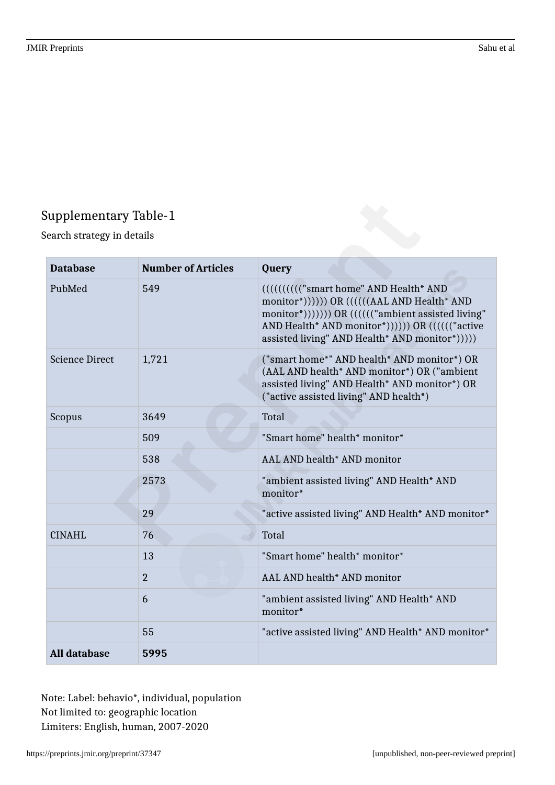## Supplementary Table-1

Search strategy in details

| <b>Database</b>       | <b>Number of Articles</b> | Query                                                                                                                                                                                                                                          |
|-----------------------|---------------------------|------------------------------------------------------------------------------------------------------------------------------------------------------------------------------------------------------------------------------------------------|
| PubMed                | 549                       | ((((((((("smart home" AND Health* AND<br>monitor*)))))) OR ((((((AAL AND Health* AND<br>monitor*))))))) OR (((((("ambient assisted living"<br>AND Health* AND monitor*)))))) OR ((((("active<br>assisted living" AND Health* AND monitor*))))) |
| <b>Science Direct</b> | 1,721                     | ("smart home*" AND health* AND monitor*) OR<br>(AAL AND health* AND monitor*) OR ("ambient<br>assisted living" AND Health* AND monitor*) OR<br>("active assisted living" AND health*)                                                          |
| Scopus                | 3649                      | <b>Total</b>                                                                                                                                                                                                                                   |
|                       | 509                       | "Smart home" health* monitor*                                                                                                                                                                                                                  |
|                       | 538                       | AAL AND health* AND monitor                                                                                                                                                                                                                    |
|                       | 2573                      | "ambient assisted living" AND Health* AND<br>monitor*                                                                                                                                                                                          |
|                       | 29                        | "active assisted living" AND Health* AND monitor*                                                                                                                                                                                              |
| <b>CINAHL</b>         | 76                        | Total                                                                                                                                                                                                                                          |
|                       | 13                        | "Smart home" health* monitor*                                                                                                                                                                                                                  |
|                       | $\overline{2}$            | AAL AND health* AND monitor                                                                                                                                                                                                                    |
|                       | 6                         | "ambient assisted living" AND Health* AND<br>monitor*                                                                                                                                                                                          |
|                       | 55                        | "active assisted living" AND Health* AND monitor*                                                                                                                                                                                              |
| <b>All database</b>   | 5995                      |                                                                                                                                                                                                                                                |

Note: Label: behavio\*, individual, population Not limited to: geographic location Limiters: English, human, 2007-2020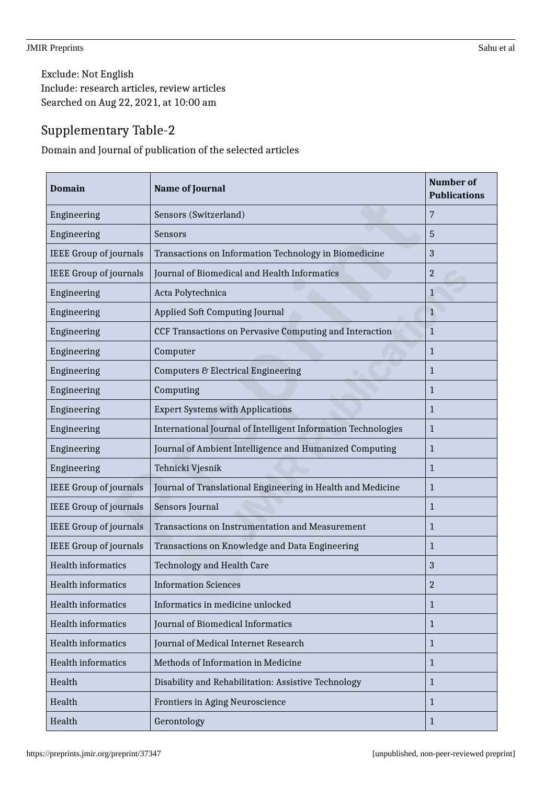Exclude: Not English Include: research articles, review articles Searched on Aug 22, 2021, at 10:00 am

## Supplementary Table-2

Domain and Journal of publication of the selected articles

| <b>Domain</b>                 | <b>Name of Journal</b>                                        | <b>Number of</b><br><b>Publications</b> |
|-------------------------------|---------------------------------------------------------------|-----------------------------------------|
| Engineering                   | Sensors (Switzerland)                                         | 7                                       |
| Engineering                   | Sensors                                                       | 5                                       |
| <b>IEEE Group of journals</b> | Transactions on Information Technology in Biomedicine         | 3                                       |
| <b>IEEE Group of journals</b> | <b>Journal of Biomedical and Health Informatics</b>           | $\overline{2}$                          |
| Engineering                   | Acta Polytechnica                                             | $\mathbf 1$                             |
| Engineering                   | <b>Applied Soft Computing Journal</b>                         | $\mathbf{1}$                            |
| Engineering                   | CCF Transactions on Pervasive Computing and Interaction       | 1                                       |
| Engineering                   | Computer                                                      | 1                                       |
| Engineering                   | Computers & Electrical Engineering                            | 1                                       |
| Engineering                   | Computing                                                     | $\mathbf{1}$                            |
| Engineering                   | <b>Expert Systems with Applications</b>                       | $\mathbf{1}$                            |
| Engineering                   | International Journal of Intelligent Information Technologies | $\mathbf{1}$                            |
| Engineering                   | Journal of Ambient Intelligence and Humanized Computing       | 1                                       |
| Engineering                   | Tehnicki Vjesnik                                              | $\mathbf{1}$                            |
| <b>IEEE Group of journals</b> | Journal of Translational Engineering in Health and Medicine   | $\mathbf{1}$                            |
| <b>IEEE Group of journals</b> | Sensors Journal                                               | $\mathbf{1}$                            |
| <b>IEEE Group of journals</b> | Transactions on Instrumentation and Measurement               | $\mathbf{1}$                            |
| <b>IEEE Group of journals</b> | Transactions on Knowledge and Data Engineering                | $\mathbf{1}$                            |
| <b>Health informatics</b>     | Technology and Health Care                                    | 3                                       |
| <b>Health informatics</b>     | <b>Information Sciences</b>                                   | $\overline{2}$                          |
| Health informatics            | Informatics in medicine unlocked                              | $\mathbf{1}$                            |
| Health informatics            | Journal of Biomedical Informatics                             | $\mathbf{1}$                            |
| Health informatics            | Journal of Medical Internet Research                          | $\mathbf{1}$                            |
| Health informatics            | Methods of Information in Medicine                            | $\mathbf{1}$                            |
| Health                        | Disability and Rehabilitation: Assistive Technology           | $\mathbf{1}$                            |
| Health                        | Frontiers in Aging Neuroscience                               | $\mathbf{1}$                            |
| Health                        | Gerontology                                                   | $\mathbf{1}$                            |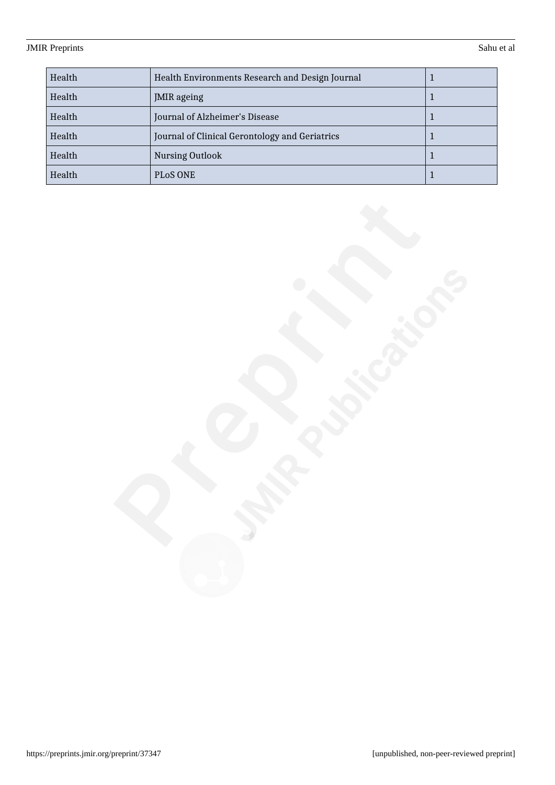| Health | Health Environments Research and Design Journal |  |
|--------|-------------------------------------------------|--|
| Health | <b>JMIR</b> ageing                              |  |
| Health | Journal of Alzheimer's Disease                  |  |
| Health | Journal of Clinical Gerontology and Geriatrics  |  |
| Health | Nursing Outlook                                 |  |
| Health | PLOS ONE                                        |  |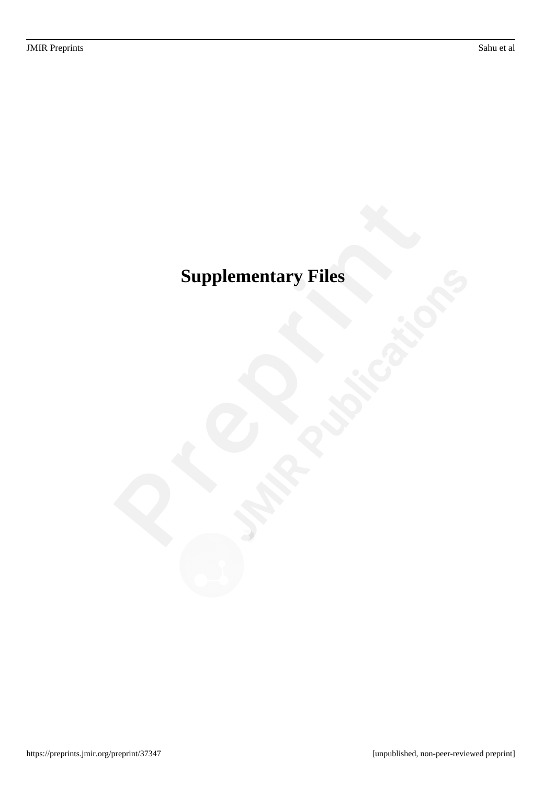# <span id="page-38-0"></span>**Supplementary Files**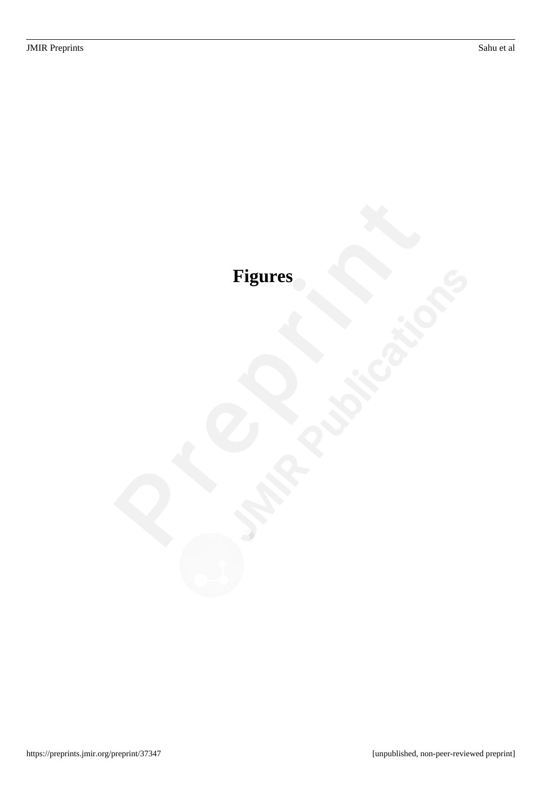# <span id="page-39-0"></span>**Figures**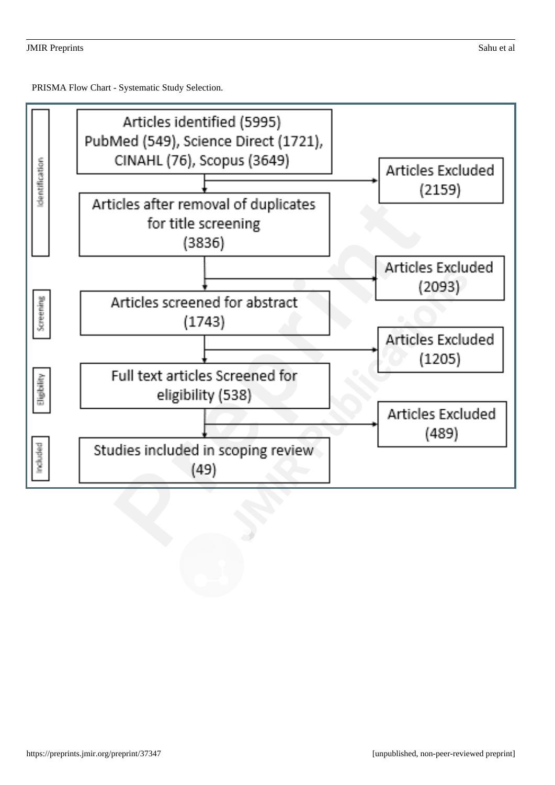<span id="page-40-0"></span>PRISMA Flow Chart - Systematic Study Selection.

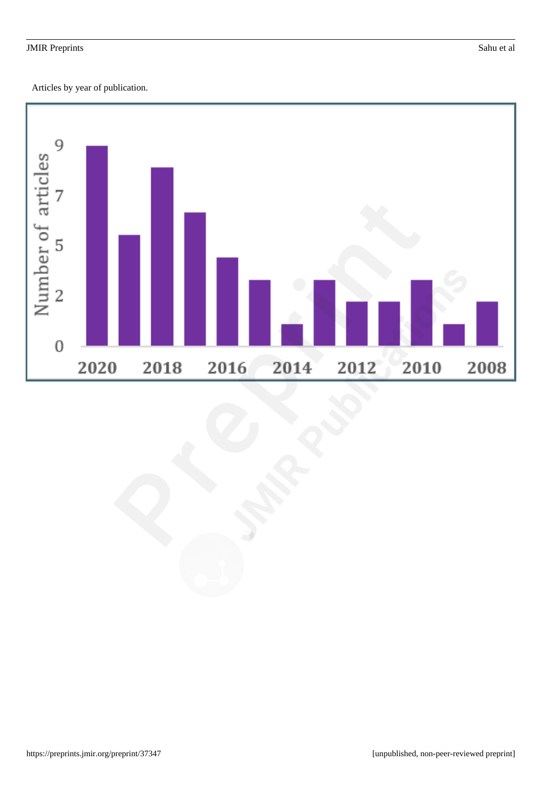<span id="page-41-0"></span>Articles by year of publication.

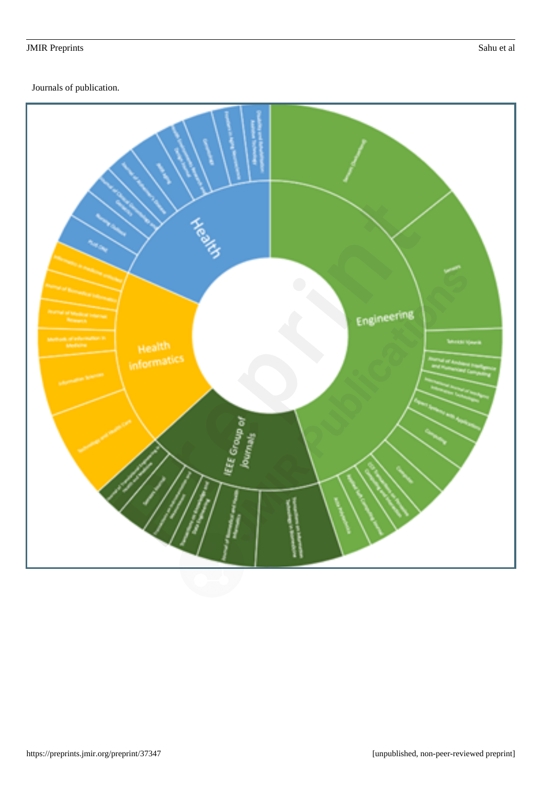<span id="page-42-0"></span>Journals of publication.